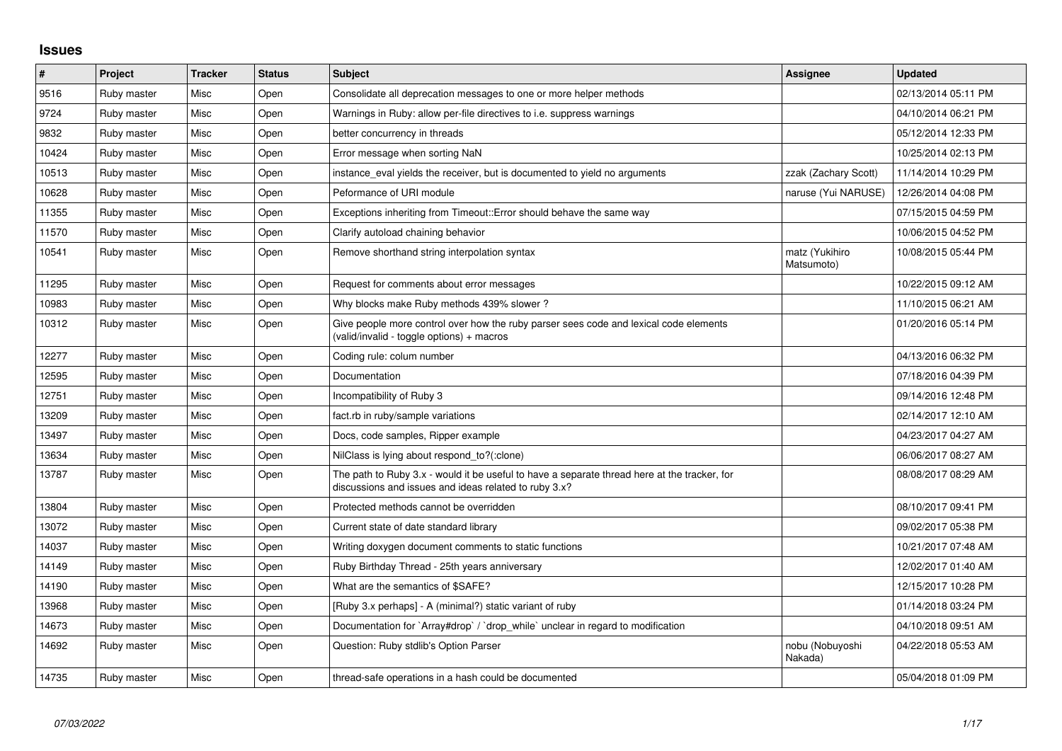## **Issues**

| $\vert$ # | Project     | <b>Tracker</b> | <b>Status</b> | <b>Subject</b>                                                                                                                                        | Assignee                     | <b>Updated</b>      |
|-----------|-------------|----------------|---------------|-------------------------------------------------------------------------------------------------------------------------------------------------------|------------------------------|---------------------|
| 9516      | Ruby master | Misc           | Open          | Consolidate all deprecation messages to one or more helper methods                                                                                    |                              | 02/13/2014 05:11 PM |
| 9724      | Ruby master | Misc           | Open          | Warnings in Ruby: allow per-file directives to i.e. suppress warnings                                                                                 |                              | 04/10/2014 06:21 PM |
| 9832      | Ruby master | Misc           | Open          | better concurrency in threads                                                                                                                         |                              | 05/12/2014 12:33 PM |
| 10424     | Ruby master | Misc           | Open          | Error message when sorting NaN                                                                                                                        |                              | 10/25/2014 02:13 PM |
| 10513     | Ruby master | Misc           | Open          | instance_eval yields the receiver, but is documented to yield no arguments                                                                            | zzak (Zachary Scott)         | 11/14/2014 10:29 PM |
| 10628     | Ruby master | Misc           | Open          | Peformance of URI module                                                                                                                              | naruse (Yui NARUSE)          | 12/26/2014 04:08 PM |
| 11355     | Ruby master | Misc           | Open          | Exceptions inheriting from Timeout:: Error should behave the same way                                                                                 |                              | 07/15/2015 04:59 PM |
| 11570     | Ruby master | Misc           | Open          | Clarify autoload chaining behavior                                                                                                                    |                              | 10/06/2015 04:52 PM |
| 10541     | Ruby master | Misc           | Open          | Remove shorthand string interpolation syntax                                                                                                          | matz (Yukihiro<br>Matsumoto) | 10/08/2015 05:44 PM |
| 11295     | Ruby master | Misc           | Open          | Request for comments about error messages                                                                                                             |                              | 10/22/2015 09:12 AM |
| 10983     | Ruby master | Misc           | Open          | Why blocks make Ruby methods 439% slower?                                                                                                             |                              | 11/10/2015 06:21 AM |
| 10312     | Ruby master | Misc           | Open          | Give people more control over how the ruby parser sees code and lexical code elements<br>(valid/invalid - toggle options) + macros                    |                              | 01/20/2016 05:14 PM |
| 12277     | Ruby master | Misc           | Open          | Coding rule: colum number                                                                                                                             |                              | 04/13/2016 06:32 PM |
| 12595     | Ruby master | Misc           | Open          | Documentation                                                                                                                                         |                              | 07/18/2016 04:39 PM |
| 12751     | Ruby master | Misc           | Open          | Incompatibility of Ruby 3                                                                                                                             |                              | 09/14/2016 12:48 PM |
| 13209     | Ruby master | Misc           | Open          | fact.rb in ruby/sample variations                                                                                                                     |                              | 02/14/2017 12:10 AM |
| 13497     | Ruby master | Misc           | Open          | Docs, code samples, Ripper example                                                                                                                    |                              | 04/23/2017 04:27 AM |
| 13634     | Ruby master | Misc           | Open          | NilClass is lying about respond to?(:clone)                                                                                                           |                              | 06/06/2017 08:27 AM |
| 13787     | Ruby master | Misc           | Open          | The path to Ruby 3.x - would it be useful to have a separate thread here at the tracker, for<br>discussions and issues and ideas related to ruby 3.x? |                              | 08/08/2017 08:29 AM |
| 13804     | Ruby master | Misc           | Open          | Protected methods cannot be overridden                                                                                                                |                              | 08/10/2017 09:41 PM |
| 13072     | Ruby master | Misc           | Open          | Current state of date standard library                                                                                                                |                              | 09/02/2017 05:38 PM |
| 14037     | Ruby master | Misc           | Open          | Writing doxygen document comments to static functions                                                                                                 |                              | 10/21/2017 07:48 AM |
| 14149     | Ruby master | Misc           | Open          | Ruby Birthday Thread - 25th years anniversary                                                                                                         |                              | 12/02/2017 01:40 AM |
| 14190     | Ruby master | Misc           | Open          | What are the semantics of \$SAFE?                                                                                                                     |                              | 12/15/2017 10:28 PM |
| 13968     | Ruby master | Misc           | Open          | [Ruby 3.x perhaps] - A (minimal?) static variant of ruby                                                                                              |                              | 01/14/2018 03:24 PM |
| 14673     | Ruby master | Misc           | Open          | Documentation for `Array#drop` / `drop_while` unclear in regard to modification                                                                       |                              | 04/10/2018 09:51 AM |
| 14692     | Ruby master | Misc           | Open          | Question: Ruby stdlib's Option Parser                                                                                                                 | nobu (Nobuyoshi<br>Nakada)   | 04/22/2018 05:53 AM |
| 14735     | Ruby master | Misc           | Open          | thread-safe operations in a hash could be documented                                                                                                  |                              | 05/04/2018 01:09 PM |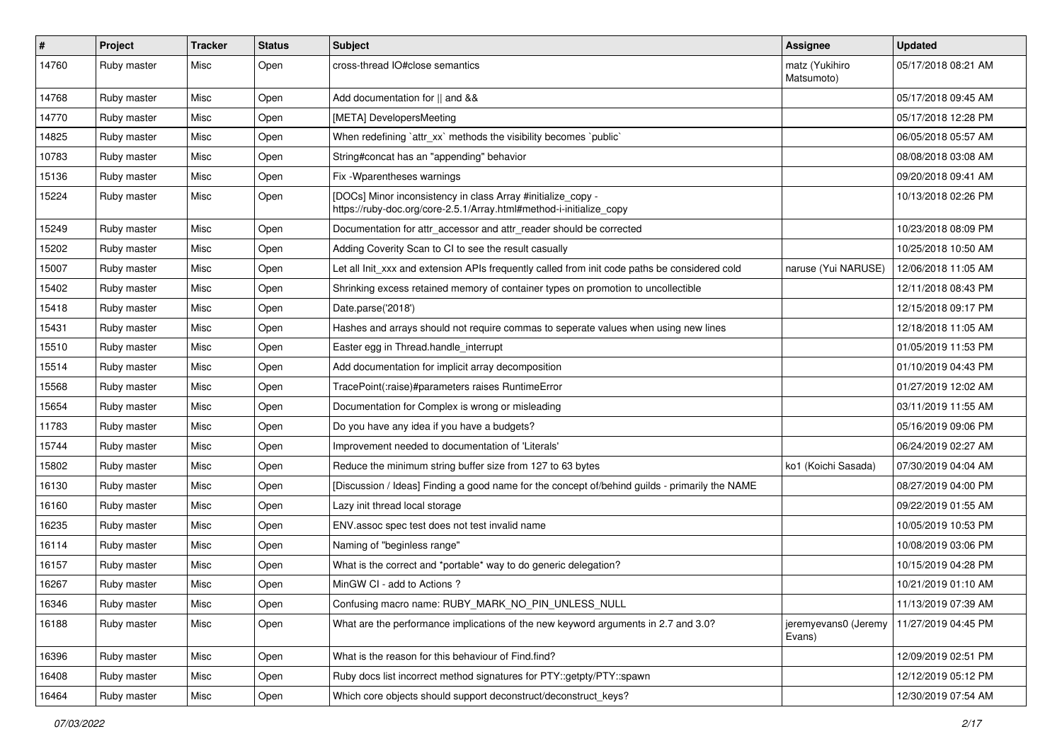| $\sharp$ | Project     | <b>Tracker</b> | <b>Status</b> | <b>Subject</b>                                                                                                                      | <b>Assignee</b>                | <b>Updated</b>      |
|----------|-------------|----------------|---------------|-------------------------------------------------------------------------------------------------------------------------------------|--------------------------------|---------------------|
| 14760    | Ruby master | Misc           | Open          | cross-thread IO#close semantics                                                                                                     | matz (Yukihiro<br>Matsumoto)   | 05/17/2018 08:21 AM |
| 14768    | Ruby master | Misc           | Open          | Add documentation for    and &&                                                                                                     |                                | 05/17/2018 09:45 AM |
| 14770    | Ruby master | Misc           | Open          | [META] DevelopersMeeting                                                                                                            |                                | 05/17/2018 12:28 PM |
| 14825    | Ruby master | Misc           | Open          | When redefining 'attr_xx' methods the visibility becomes 'public'                                                                   |                                | 06/05/2018 05:57 AM |
| 10783    | Ruby master | Misc           | Open          | String#concat has an "appending" behavior                                                                                           |                                | 08/08/2018 03:08 AM |
| 15136    | Ruby master | Misc           | Open          | Fix - Wparentheses warnings                                                                                                         |                                | 09/20/2018 09:41 AM |
| 15224    | Ruby master | Misc           | Open          | [DOCs] Minor inconsistency in class Array #initialize_copy -<br>https://ruby-doc.org/core-2.5.1/Array.html#method-i-initialize_copy |                                | 10/13/2018 02:26 PM |
| 15249    | Ruby master | Misc           | Open          | Documentation for attr_accessor and attr_reader should be corrected                                                                 |                                | 10/23/2018 08:09 PM |
| 15202    | Ruby master | Misc           | Open          | Adding Coverity Scan to CI to see the result casually                                                                               |                                | 10/25/2018 10:50 AM |
| 15007    | Ruby master | Misc           | Open          | Let all Init_xxx and extension APIs frequently called from init code paths be considered cold                                       | naruse (Yui NARUSE)            | 12/06/2018 11:05 AM |
| 15402    | Ruby master | Misc           | Open          | Shrinking excess retained memory of container types on promotion to uncollectible                                                   |                                | 12/11/2018 08:43 PM |
| 15418    | Ruby master | Misc           | Open          | Date.parse('2018')                                                                                                                  |                                | 12/15/2018 09:17 PM |
| 15431    | Ruby master | Misc           | Open          | Hashes and arrays should not require commas to seperate values when using new lines                                                 |                                | 12/18/2018 11:05 AM |
| 15510    | Ruby master | Misc           | Open          | Easter egg in Thread.handle_interrupt                                                                                               |                                | 01/05/2019 11:53 PM |
| 15514    | Ruby master | Misc           | Open          | Add documentation for implicit array decomposition                                                                                  |                                | 01/10/2019 04:43 PM |
| 15568    | Ruby master | Misc           | Open          | TracePoint(:raise)#parameters raises RuntimeError                                                                                   |                                | 01/27/2019 12:02 AM |
| 15654    | Ruby master | Misc           | Open          | Documentation for Complex is wrong or misleading                                                                                    |                                | 03/11/2019 11:55 AM |
| 11783    | Ruby master | Misc           | Open          | Do you have any idea if you have a budgets?                                                                                         |                                | 05/16/2019 09:06 PM |
| 15744    | Ruby master | Misc           | Open          | Improvement needed to documentation of 'Literals'                                                                                   |                                | 06/24/2019 02:27 AM |
| 15802    | Ruby master | Misc           | Open          | Reduce the minimum string buffer size from 127 to 63 bytes                                                                          | ko1 (Koichi Sasada)            | 07/30/2019 04:04 AM |
| 16130    | Ruby master | Misc           | Open          | [Discussion / Ideas] Finding a good name for the concept of/behind guilds - primarily the NAME                                      |                                | 08/27/2019 04:00 PM |
| 16160    | Ruby master | Misc           | Open          | Lazy init thread local storage                                                                                                      |                                | 09/22/2019 01:55 AM |
| 16235    | Ruby master | Misc           | Open          | ENV assoc spec test does not test invalid name                                                                                      |                                | 10/05/2019 10:53 PM |
| 16114    | Ruby master | Misc           | Open          | Naming of "beginless range"                                                                                                         |                                | 10/08/2019 03:06 PM |
| 16157    | Ruby master | Misc           | Open          | What is the correct and *portable* way to do generic delegation?                                                                    |                                | 10/15/2019 04:28 PM |
| 16267    | Ruby master | Misc           | Open          | MinGW CI - add to Actions ?                                                                                                         |                                | 10/21/2019 01:10 AM |
| 16346    | Ruby master | Misc           | Open          | Confusing macro name: RUBY_MARK_NO_PIN_UNLESS_NULL                                                                                  |                                | 11/13/2019 07:39 AM |
| 16188    | Ruby master | Misc           | Open          | What are the performance implications of the new keyword arguments in 2.7 and 3.0?                                                  | jeremyevans0 (Jeremy<br>Evans) | 11/27/2019 04:45 PM |
| 16396    | Ruby master | Misc           | Open          | What is the reason for this behaviour of Find.find?                                                                                 |                                | 12/09/2019 02:51 PM |
| 16408    | Ruby master | Misc           | Open          | Ruby docs list incorrect method signatures for PTY::getpty/PTY::spawn                                                               |                                | 12/12/2019 05:12 PM |
| 16464    | Ruby master | Misc           | Open          | Which core objects should support deconstruct/deconstruct_keys?                                                                     |                                | 12/30/2019 07:54 AM |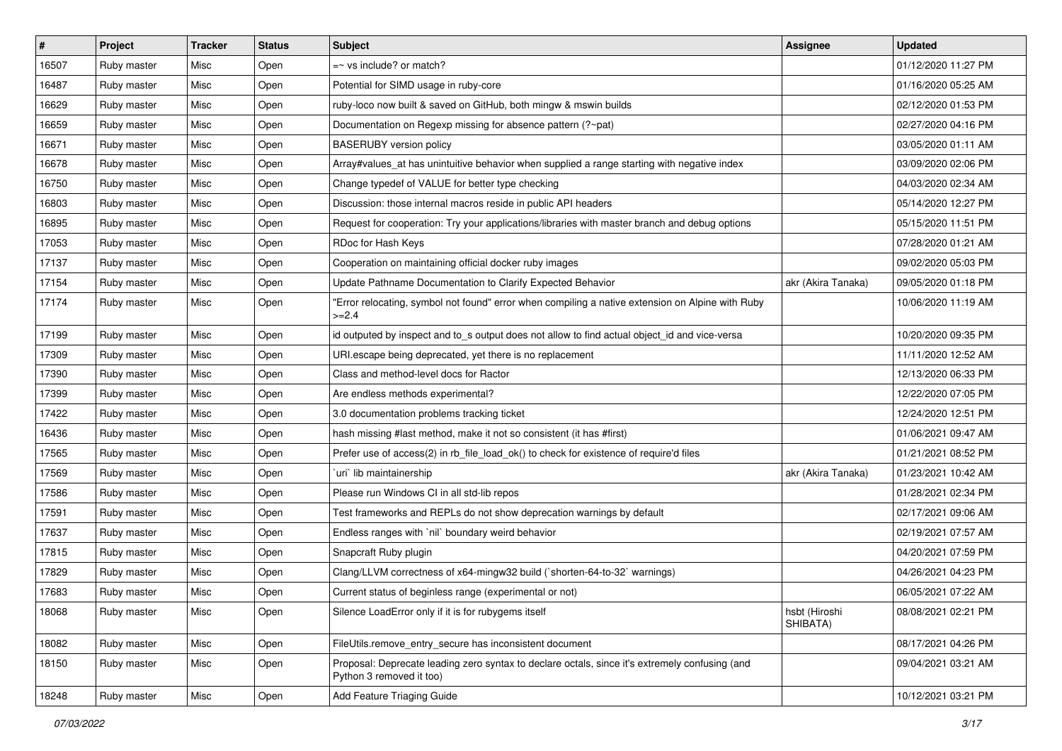| $\vert$ # | Project     | <b>Tracker</b> | <b>Status</b> | Subject                                                                                                                    | Assignee                  | Updated             |
|-----------|-------------|----------------|---------------|----------------------------------------------------------------------------------------------------------------------------|---------------------------|---------------------|
| 16507     | Ruby master | Misc           | Open          | $=$ vs include? or match?                                                                                                  |                           | 01/12/2020 11:27 PM |
| 16487     | Ruby master | Misc           | Open          | Potential for SIMD usage in ruby-core                                                                                      |                           | 01/16/2020 05:25 AM |
| 16629     | Ruby master | Misc           | Open          | ruby-loco now built & saved on GitHub, both mingw & mswin builds                                                           |                           | 02/12/2020 01:53 PM |
| 16659     | Ruby master | Misc           | Open          | Documentation on Regexp missing for absence pattern (?~pat)                                                                |                           | 02/27/2020 04:16 PM |
| 16671     | Ruby master | Misc           | Open          | <b>BASERUBY</b> version policy                                                                                             |                           | 03/05/2020 01:11 AM |
| 16678     | Ruby master | Misc           | Open          | Array#values_at has unintuitive behavior when supplied a range starting with negative index                                |                           | 03/09/2020 02:06 PM |
| 16750     | Ruby master | Misc           | Open          | Change typedef of VALUE for better type checking                                                                           |                           | 04/03/2020 02:34 AM |
| 16803     | Ruby master | Misc           | Open          | Discussion: those internal macros reside in public API headers                                                             |                           | 05/14/2020 12:27 PM |
| 16895     | Ruby master | Misc           | Open          | Request for cooperation: Try your applications/libraries with master branch and debug options                              |                           | 05/15/2020 11:51 PM |
| 17053     | Ruby master | Misc           | Open          | RDoc for Hash Keys                                                                                                         |                           | 07/28/2020 01:21 AM |
| 17137     | Ruby master | Misc           | Open          | Cooperation on maintaining official docker ruby images                                                                     |                           | 09/02/2020 05:03 PM |
| 17154     | Ruby master | Misc           | Open          | Update Pathname Documentation to Clarify Expected Behavior                                                                 | akr (Akira Tanaka)        | 09/05/2020 01:18 PM |
| 17174     | Ruby master | Misc           | Open          | "Error relocating, symbol not found" error when compiling a native extension on Alpine with Ruby<br>$>=2.4$                |                           | 10/06/2020 11:19 AM |
| 17199     | Ruby master | Misc           | Open          | id outputed by inspect and to_s output does not allow to find actual object_id and vice-versa                              |                           | 10/20/2020 09:35 PM |
| 17309     | Ruby master | Misc           | Open          | URI escape being deprecated, yet there is no replacement                                                                   |                           | 11/11/2020 12:52 AM |
| 17390     | Ruby master | Misc           | Open          | Class and method-level docs for Ractor                                                                                     |                           | 12/13/2020 06:33 PM |
| 17399     | Ruby master | Misc           | Open          | Are endless methods experimental?                                                                                          |                           | 12/22/2020 07:05 PM |
| 17422     | Ruby master | Misc           | Open          | 3.0 documentation problems tracking ticket                                                                                 |                           | 12/24/2020 12:51 PM |
| 16436     | Ruby master | Misc           | Open          | hash missing #last method, make it not so consistent (it has #first)                                                       |                           | 01/06/2021 09:47 AM |
| 17565     | Ruby master | Misc           | Open          | Prefer use of access(2) in rb_file_load_ok() to check for existence of require'd files                                     |                           | 01/21/2021 08:52 PM |
| 17569     | Ruby master | Misc           | Open          | uri lib maintainership                                                                                                     | akr (Akira Tanaka)        | 01/23/2021 10:42 AM |
| 17586     | Ruby master | Misc           | Open          | Please run Windows CI in all std-lib repos                                                                                 |                           | 01/28/2021 02:34 PM |
| 17591     | Ruby master | Misc           | Open          | Test frameworks and REPLs do not show deprecation warnings by default                                                      |                           | 02/17/2021 09:06 AM |
| 17637     | Ruby master | Misc           | Open          | Endless ranges with 'nil' boundary weird behavior                                                                          |                           | 02/19/2021 07:57 AM |
| 17815     | Ruby master | Misc           | Open          | Snapcraft Ruby plugin                                                                                                      |                           | 04/20/2021 07:59 PM |
| 17829     | Ruby master | Misc           | Open          | Clang/LLVM correctness of x64-mingw32 build (`shorten-64-to-32` warnings)                                                  |                           | 04/26/2021 04:23 PM |
| 17683     | Ruby master | Misc           | Open          | Current status of beginless range (experimental or not)                                                                    |                           | 06/05/2021 07:22 AM |
| 18068     | Ruby master | Misc           | Open          | Silence LoadError only if it is for rubygems itself                                                                        | hsbt (Hiroshi<br>SHIBATA) | 08/08/2021 02:21 PM |
| 18082     | Ruby master | Misc           | Open          | FileUtils.remove_entry_secure has inconsistent document                                                                    |                           | 08/17/2021 04:26 PM |
| 18150     | Ruby master | Misc           | Open          | Proposal: Deprecate leading zero syntax to declare octals, since it's extremely confusing (and<br>Python 3 removed it too) |                           | 09/04/2021 03:21 AM |
| 18248     | Ruby master | Misc           | Open          | Add Feature Triaging Guide                                                                                                 |                           | 10/12/2021 03:21 PM |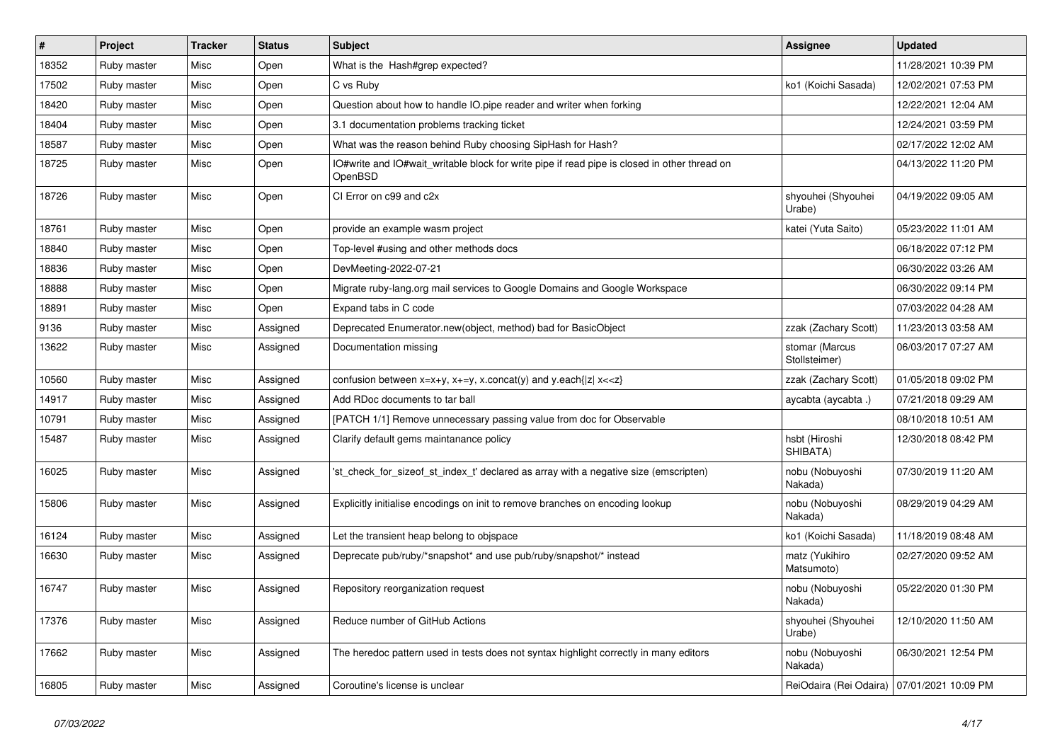| #     | Project     | <b>Tracker</b> | <b>Status</b> | <b>Subject</b>                                                                                                                          | Assignee                                     | <b>Updated</b>      |
|-------|-------------|----------------|---------------|-----------------------------------------------------------------------------------------------------------------------------------------|----------------------------------------------|---------------------|
| 18352 | Ruby master | Misc           | Open          | What is the Hash#grep expected?                                                                                                         |                                              | 11/28/2021 10:39 PM |
| 17502 | Ruby master | Misc           | Open          | C vs Ruby                                                                                                                               | ko1 (Koichi Sasada)                          | 12/02/2021 07:53 PM |
| 18420 | Ruby master | Misc           | Open          | Question about how to handle IO.pipe reader and writer when forking                                                                     |                                              | 12/22/2021 12:04 AM |
| 18404 | Ruby master | Misc           | Open          | 3.1 documentation problems tracking ticket                                                                                              |                                              | 12/24/2021 03:59 PM |
| 18587 | Ruby master | Misc           | Open          | What was the reason behind Ruby choosing SipHash for Hash?                                                                              |                                              | 02/17/2022 12:02 AM |
| 18725 | Ruby master | Misc           | Open          | IO#write and IO#wait writable block for write pipe if read pipe is closed in other thread on<br>OpenBSD                                 |                                              | 04/13/2022 11:20 PM |
| 18726 | Ruby master | Misc           | Open          | CI Error on c99 and c2x                                                                                                                 | shyouhei (Shyouhei<br>Urabe)                 | 04/19/2022 09:05 AM |
| 18761 | Ruby master | Misc           | Open          | provide an example wasm project                                                                                                         | katei (Yuta Saito)                           | 05/23/2022 11:01 AM |
| 18840 | Ruby master | Misc           | Open          | Top-level #using and other methods docs                                                                                                 |                                              | 06/18/2022 07:12 PM |
| 18836 | Ruby master | Misc           | Open          | DevMeeting-2022-07-21                                                                                                                   |                                              | 06/30/2022 03:26 AM |
| 18888 | Ruby master | Misc           | Open          | Migrate ruby-lang.org mail services to Google Domains and Google Workspace                                                              |                                              | 06/30/2022 09:14 PM |
| 18891 | Ruby master | Misc           | Open          | Expand tabs in C code                                                                                                                   |                                              | 07/03/2022 04:28 AM |
| 9136  | Ruby master | Misc           | Assigned      | Deprecated Enumerator.new(object, method) bad for BasicObject                                                                           | zzak (Zachary Scott)                         | 11/23/2013 03:58 AM |
| 13622 | Ruby master | Misc           | Assigned      | Documentation missing                                                                                                                   | stomar (Marcus<br>Stollsteimer)              | 06/03/2017 07:27 AM |
| 10560 | Ruby master | Misc           | Assigned      | confusion between x=x+y, x+=y, x.concat(y) and y.each{ z  x< <z}< td=""><td>zzak (Zachary Scott)</td><td>01/05/2018 09:02 PM</td></z}<> | zzak (Zachary Scott)                         | 01/05/2018 09:02 PM |
| 14917 | Ruby master | Misc           | Assigned      | Add RDoc documents to tar ball                                                                                                          | aycabta (aycabta.)                           | 07/21/2018 09:29 AM |
| 10791 | Ruby master | Misc           | Assigned      | [PATCH 1/1] Remove unnecessary passing value from doc for Observable                                                                    |                                              | 08/10/2018 10:51 AM |
| 15487 | Ruby master | Misc           | Assigned      | Clarify default gems maintanance policy                                                                                                 | hsbt (Hiroshi<br>SHIBATA)                    | 12/30/2018 08:42 PM |
| 16025 | Ruby master | Misc           | Assigned      | 'st_check_for_sizeof_st_index_t' declared as array with a negative size (emscripten)                                                    | nobu (Nobuyoshi<br>Nakada)                   | 07/30/2019 11:20 AM |
| 15806 | Ruby master | Misc           | Assigned      | Explicitly initialise encodings on init to remove branches on encoding lookup                                                           | nobu (Nobuyoshi<br>Nakada)                   | 08/29/2019 04:29 AM |
| 16124 | Ruby master | Misc           | Assigned      | Let the transient heap belong to objspace                                                                                               | ko1 (Koichi Sasada)                          | 11/18/2019 08:48 AM |
| 16630 | Ruby master | Misc           | Assigned      | Deprecate pub/ruby/*snapshot* and use pub/ruby/snapshot/* instead                                                                       | matz (Yukihiro<br>Matsumoto)                 | 02/27/2020 09:52 AM |
| 16747 | Ruby master | Misc           | Assigned      | Repository reorganization request                                                                                                       | nobu (Nobuyoshi<br>Nakada)                   | 05/22/2020 01:30 PM |
| 17376 | Ruby master | Misc           | Assigned      | Reduce number of GitHub Actions                                                                                                         | shyouhei (Shyouhei<br>Urabe)                 | 12/10/2020 11:50 AM |
| 17662 | Ruby master | Misc           | Assigned      | The heredoc pattern used in tests does not syntax highlight correctly in many editors                                                   | nobu (Nobuyoshi<br>Nakada)                   | 06/30/2021 12:54 PM |
| 16805 | Ruby master | Misc           | Assigned      | Coroutine's license is unclear                                                                                                          | ReiOdaira (Rei Odaira)   07/01/2021 10:09 PM |                     |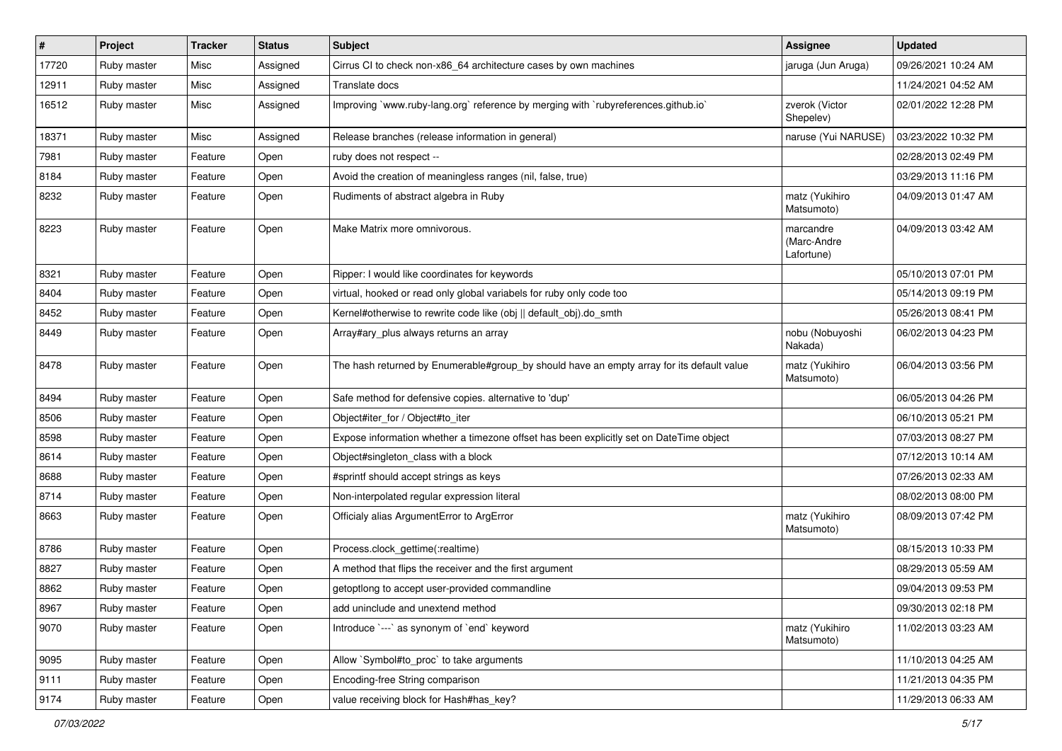| $\vert$ # | Project     | <b>Tracker</b> | <b>Status</b> | <b>Subject</b>                                                                            | <b>Assignee</b>                        | <b>Updated</b>      |
|-----------|-------------|----------------|---------------|-------------------------------------------------------------------------------------------|----------------------------------------|---------------------|
| 17720     | Ruby master | Misc           | Assigned      | Cirrus CI to check non-x86_64 architecture cases by own machines                          | jaruga (Jun Aruga)                     | 09/26/2021 10:24 AM |
| 12911     | Ruby master | Misc           | Assigned      | Translate docs                                                                            |                                        | 11/24/2021 04:52 AM |
| 16512     | Ruby master | Misc           | Assigned      | Improving `www.ruby-lang.org` reference by merging with `rubyreferences.github.io`        | zverok (Victor<br>Shepelev)            | 02/01/2022 12:28 PM |
| 18371     | Ruby master | Misc           | Assigned      | Release branches (release information in general)                                         | naruse (Yui NARUSE)                    | 03/23/2022 10:32 PM |
| 7981      | Ruby master | Feature        | Open          | ruby does not respect --                                                                  |                                        | 02/28/2013 02:49 PM |
| 8184      | Ruby master | Feature        | Open          | Avoid the creation of meaningless ranges (nil, false, true)                               |                                        | 03/29/2013 11:16 PM |
| 8232      | Ruby master | Feature        | Open          | Rudiments of abstract algebra in Ruby                                                     | matz (Yukihiro<br>Matsumoto)           | 04/09/2013 01:47 AM |
| 8223      | Ruby master | Feature        | Open          | Make Matrix more omnivorous.                                                              | marcandre<br>(Marc-Andre<br>Lafortune) | 04/09/2013 03:42 AM |
| 8321      | Ruby master | Feature        | Open          | Ripper: I would like coordinates for keywords                                             |                                        | 05/10/2013 07:01 PM |
| 8404      | Ruby master | Feature        | Open          | virtual, hooked or read only global variabels for ruby only code too                      |                                        | 05/14/2013 09:19 PM |
| 8452      | Ruby master | Feature        | Open          | Kernel#otherwise to rewrite code like (obj    default_obj).do_smth                        |                                        | 05/26/2013 08:41 PM |
| 8449      | Ruby master | Feature        | Open          | Array#ary_plus always returns an array                                                    | nobu (Nobuyoshi<br>Nakada)             | 06/02/2013 04:23 PM |
| 8478      | Ruby master | Feature        | Open          | The hash returned by Enumerable#group_by should have an empty array for its default value | matz (Yukihiro<br>Matsumoto)           | 06/04/2013 03:56 PM |
| 8494      | Ruby master | Feature        | Open          | Safe method for defensive copies. alternative to 'dup'                                    |                                        | 06/05/2013 04:26 PM |
| 8506      | Ruby master | Feature        | Open          | Object#iter_for / Object#to_iter                                                          |                                        | 06/10/2013 05:21 PM |
| 8598      | Ruby master | Feature        | Open          | Expose information whether a timezone offset has been explicitly set on DateTime object   |                                        | 07/03/2013 08:27 PM |
| 8614      | Ruby master | Feature        | Open          | Object#singleton_class with a block                                                       |                                        | 07/12/2013 10:14 AM |
| 8688      | Ruby master | Feature        | Open          | #sprintf should accept strings as keys                                                    |                                        | 07/26/2013 02:33 AM |
| 8714      | Ruby master | Feature        | Open          | Non-interpolated regular expression literal                                               |                                        | 08/02/2013 08:00 PM |
| 8663      | Ruby master | Feature        | Open          | Officialy alias ArgumentError to ArgError                                                 | matz (Yukihiro<br>Matsumoto)           | 08/09/2013 07:42 PM |
| 8786      | Ruby master | Feature        | Open          | Process.clock_gettime(:realtime)                                                          |                                        | 08/15/2013 10:33 PM |
| 8827      | Ruby master | Feature        | Open          | A method that flips the receiver and the first argument                                   |                                        | 08/29/2013 05:59 AM |
| 8862      | Ruby master | Feature        | Open          | getoptlong to accept user-provided commandline                                            |                                        | 09/04/2013 09:53 PM |
| 8967      | Ruby master | Feature        | Open          | add uninclude and unextend method                                                         |                                        | 09/30/2013 02:18 PM |
| 9070      | Ruby master | Feature        | Open          | Introduce `---` as synonym of `end` keyword                                               | matz (Yukihiro<br>Matsumoto)           | 11/02/2013 03:23 AM |
| 9095      | Ruby master | Feature        | Open          | Allow `Symbol#to_proc` to take arguments                                                  |                                        | 11/10/2013 04:25 AM |
| 9111      | Ruby master | Feature        | Open          | Encoding-free String comparison                                                           |                                        | 11/21/2013 04:35 PM |
| 9174      | Ruby master | Feature        | Open          | value receiving block for Hash#has_key?                                                   |                                        | 11/29/2013 06:33 AM |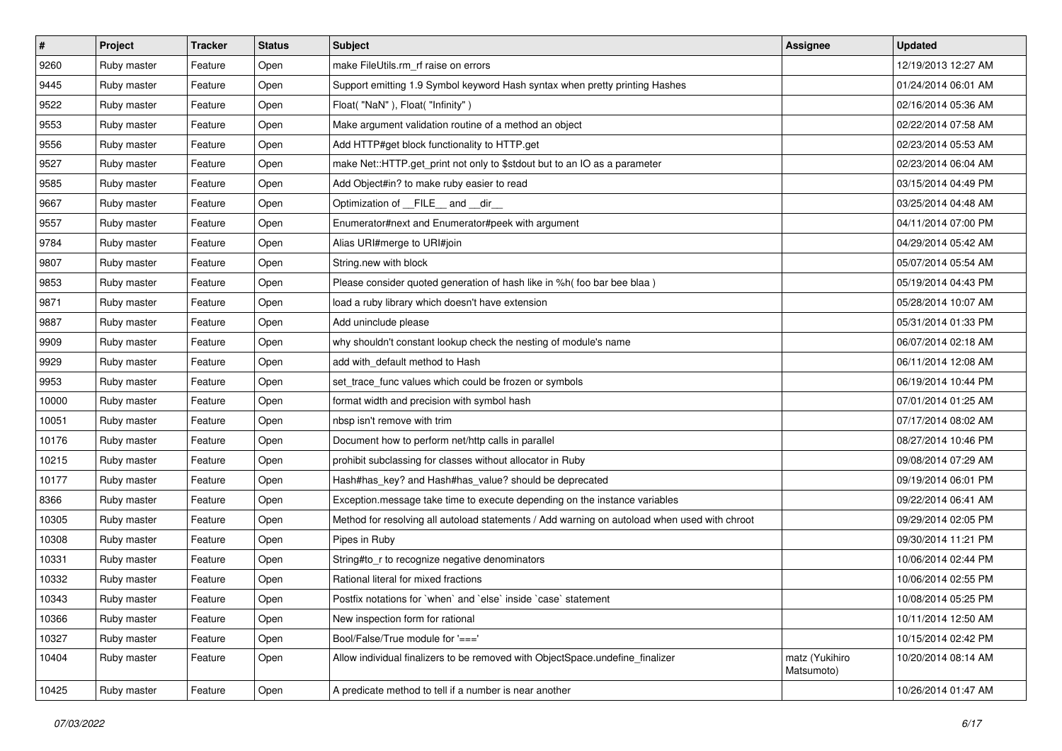| $\vert$ # | Project     | <b>Tracker</b> | <b>Status</b> | Subject                                                                                      | Assignee                     | <b>Updated</b>      |
|-----------|-------------|----------------|---------------|----------------------------------------------------------------------------------------------|------------------------------|---------------------|
| 9260      | Ruby master | Feature        | Open          | make FileUtils.rm_rf raise on errors                                                         |                              | 12/19/2013 12:27 AM |
| 9445      | Ruby master | Feature        | Open          | Support emitting 1.9 Symbol keyword Hash syntax when pretty printing Hashes                  |                              | 01/24/2014 06:01 AM |
| 9522      | Ruby master | Feature        | Open          | Float("NaN"), Float("Infinity")                                                              |                              | 02/16/2014 05:36 AM |
| 9553      | Ruby master | Feature        | Open          | Make argument validation routine of a method an object                                       |                              | 02/22/2014 07:58 AM |
| 9556      | Ruby master | Feature        | Open          | Add HTTP#get block functionality to HTTP.get                                                 |                              | 02/23/2014 05:53 AM |
| 9527      | Ruby master | Feature        | Open          | make Net::HTTP.get_print not only to \$stdout but to an IO as a parameter                    |                              | 02/23/2014 06:04 AM |
| 9585      | Ruby master | Feature        | Open          | Add Object#in? to make ruby easier to read                                                   |                              | 03/15/2014 04:49 PM |
| 9667      | Ruby master | Feature        | Open          | Optimization of FILE and dir                                                                 |                              | 03/25/2014 04:48 AM |
| 9557      | Ruby master | Feature        | Open          | Enumerator#next and Enumerator#peek with argument                                            |                              | 04/11/2014 07:00 PM |
| 9784      | Ruby master | Feature        | Open          | Alias URI#merge to URI#join                                                                  |                              | 04/29/2014 05:42 AM |
| 9807      | Ruby master | Feature        | Open          | String.new with block                                                                        |                              | 05/07/2014 05:54 AM |
| 9853      | Ruby master | Feature        | Open          | Please consider quoted generation of hash like in %h( foo bar bee blaa )                     |                              | 05/19/2014 04:43 PM |
| 9871      | Ruby master | Feature        | Open          | load a ruby library which doesn't have extension                                             |                              | 05/28/2014 10:07 AM |
| 9887      | Ruby master | Feature        | Open          | Add uninclude please                                                                         |                              | 05/31/2014 01:33 PM |
| 9909      | Ruby master | Feature        | Open          | why shouldn't constant lookup check the nesting of module's name                             |                              | 06/07/2014 02:18 AM |
| 9929      | Ruby master | Feature        | Open          | add with default method to Hash                                                              |                              | 06/11/2014 12:08 AM |
| 9953      | Ruby master | Feature        | Open          | set trace func values which could be frozen or symbols                                       |                              | 06/19/2014 10:44 PM |
| 10000     | Ruby master | Feature        | Open          | format width and precision with symbol hash                                                  |                              | 07/01/2014 01:25 AM |
| 10051     | Ruby master | Feature        | Open          | nbsp isn't remove with trim                                                                  |                              | 07/17/2014 08:02 AM |
| 10176     | Ruby master | Feature        | Open          | Document how to perform net/http calls in parallel                                           |                              | 08/27/2014 10:46 PM |
| 10215     | Ruby master | Feature        | Open          | prohibit subclassing for classes without allocator in Ruby                                   |                              | 09/08/2014 07:29 AM |
| 10177     | Ruby master | Feature        | Open          | Hash#has_key? and Hash#has_value? should be deprecated                                       |                              | 09/19/2014 06:01 PM |
| 8366      | Ruby master | Feature        | Open          | Exception.message take time to execute depending on the instance variables                   |                              | 09/22/2014 06:41 AM |
| 10305     | Ruby master | Feature        | Open          | Method for resolving all autoload statements / Add warning on autoload when used with chroot |                              | 09/29/2014 02:05 PM |
| 10308     | Ruby master | Feature        | Open          | Pipes in Ruby                                                                                |                              | 09/30/2014 11:21 PM |
| 10331     | Ruby master | Feature        | Open          | String#to_r to recognize negative denominators                                               |                              | 10/06/2014 02:44 PM |
| 10332     | Ruby master | Feature        | Open          | Rational literal for mixed fractions                                                         |                              | 10/06/2014 02:55 PM |
| 10343     | Ruby master | Feature        | Open          | Postfix notations for 'when' and 'else' inside 'case' statement                              |                              | 10/08/2014 05:25 PM |
| 10366     | Ruby master | Feature        | Open          | New inspection form for rational                                                             |                              | 10/11/2014 12:50 AM |
| 10327     | Ruby master | Feature        | Open          | Bool/False/True module for '==='                                                             |                              | 10/15/2014 02:42 PM |
| 10404     | Ruby master | Feature        | Open          | Allow individual finalizers to be removed with ObjectSpace.undefine finalizer                | matz (Yukihiro<br>Matsumoto) | 10/20/2014 08:14 AM |
| 10425     | Ruby master | Feature        | Open          | A predicate method to tell if a number is near another                                       |                              | 10/26/2014 01:47 AM |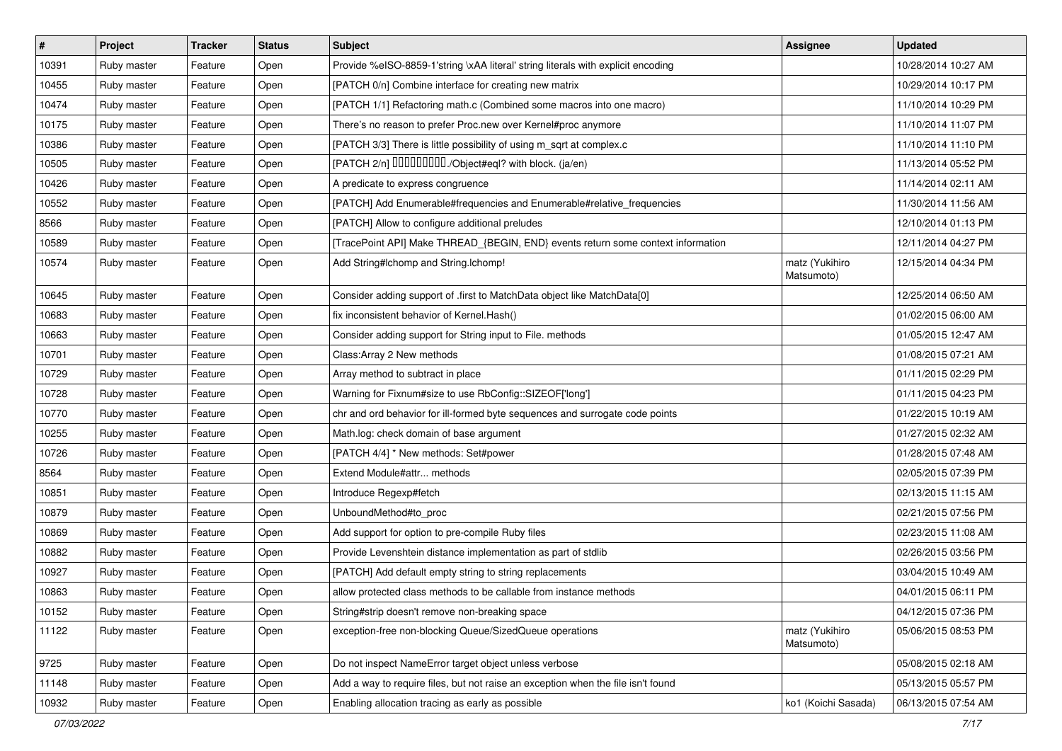| #     | Project     | <b>Tracker</b> | <b>Status</b> | Subject                                                                          | <b>Assignee</b>              | <b>Updated</b>      |
|-------|-------------|----------------|---------------|----------------------------------------------------------------------------------|------------------------------|---------------------|
| 10391 | Ruby master | Feature        | Open          | Provide %eISO-8859-1'string \xAA literal' string literals with explicit encoding |                              | 10/28/2014 10:27 AM |
| 10455 | Ruby master | Feature        | Open          | [PATCH 0/n] Combine interface for creating new matrix                            |                              | 10/29/2014 10:17 PM |
| 10474 | Ruby master | Feature        | Open          | [PATCH 1/1] Refactoring math.c (Combined some macros into one macro)             |                              | 11/10/2014 10:29 PM |
| 10175 | Ruby master | Feature        | Open          | There's no reason to prefer Proc.new over Kernel#proc anymore                    |                              | 11/10/2014 11:07 PM |
| 10386 | Ruby master | Feature        | Open          | [PATCH 3/3] There is little possibility of using m_sqrt at complex.c             |                              | 11/10/2014 11:10 PM |
| 10505 | Ruby master | Feature        | Open          | [PATCH 2/n] DDDDDDDD./Object#eql? with block. (ja/en)                            |                              | 11/13/2014 05:52 PM |
| 10426 | Ruby master | Feature        | Open          | A predicate to express congruence                                                |                              | 11/14/2014 02:11 AM |
| 10552 | Ruby master | Feature        | Open          | [PATCH] Add Enumerable#frequencies and Enumerable#relative_frequencies           |                              | 11/30/2014 11:56 AM |
| 8566  | Ruby master | Feature        | Open          | [PATCH] Allow to configure additional preludes                                   |                              | 12/10/2014 01:13 PM |
| 10589 | Ruby master | Feature        | Open          | [TracePoint API] Make THREAD_{BEGIN, END} events return some context information |                              | 12/11/2014 04:27 PM |
| 10574 | Ruby master | Feature        | Open          | Add String#Ichomp and String.Ichomp!                                             | matz (Yukihiro<br>Matsumoto) | 12/15/2014 04:34 PM |
| 10645 | Ruby master | Feature        | Open          | Consider adding support of .first to MatchData object like MatchData[0]          |                              | 12/25/2014 06:50 AM |
| 10683 | Ruby master | Feature        | Open          | fix inconsistent behavior of Kernel.Hash()                                       |                              | 01/02/2015 06:00 AM |
| 10663 | Ruby master | Feature        | Open          | Consider adding support for String input to File. methods                        |                              | 01/05/2015 12:47 AM |
| 10701 | Ruby master | Feature        | Open          | Class: Array 2 New methods                                                       |                              | 01/08/2015 07:21 AM |
| 10729 | Ruby master | Feature        | Open          | Array method to subtract in place                                                |                              | 01/11/2015 02:29 PM |
| 10728 | Ruby master | Feature        | Open          | Warning for Fixnum#size to use RbConfig::SIZEOF['long']                          |                              | 01/11/2015 04:23 PM |
| 10770 | Ruby master | Feature        | Open          | chr and ord behavior for ill-formed byte sequences and surrogate code points     |                              | 01/22/2015 10:19 AM |
| 10255 | Ruby master | Feature        | Open          | Math.log: check domain of base argument                                          |                              | 01/27/2015 02:32 AM |
| 10726 | Ruby master | Feature        | Open          | [PATCH 4/4] * New methods: Set#power                                             |                              | 01/28/2015 07:48 AM |
| 8564  | Ruby master | Feature        | Open          | Extend Module#attr methods                                                       |                              | 02/05/2015 07:39 PM |
| 10851 | Ruby master | Feature        | Open          | Introduce Regexp#fetch                                                           |                              | 02/13/2015 11:15 AM |
| 10879 | Ruby master | Feature        | Open          | UnboundMethod#to_proc                                                            |                              | 02/21/2015 07:56 PM |
| 10869 | Ruby master | Feature        | Open          | Add support for option to pre-compile Ruby files                                 |                              | 02/23/2015 11:08 AM |
| 10882 | Ruby master | Feature        | Open          | Provide Levenshtein distance implementation as part of stdlib                    |                              | 02/26/2015 03:56 PM |
| 10927 | Ruby master | Feature        | Open          | [PATCH] Add default empty string to string replacements                          |                              | 03/04/2015 10:49 AM |
| 10863 | Ruby master | Feature        | Open          | allow protected class methods to be callable from instance methods               |                              | 04/01/2015 06:11 PM |
| 10152 | Ruby master | Feature        | Open          | String#strip doesn't remove non-breaking space                                   |                              | 04/12/2015 07:36 PM |
| 11122 | Ruby master | Feature        | Open          | exception-free non-blocking Queue/SizedQueue operations                          | matz (Yukihiro<br>Matsumoto) | 05/06/2015 08:53 PM |
| 9725  | Ruby master | Feature        | Open          | Do not inspect NameError target object unless verbose                            |                              | 05/08/2015 02:18 AM |
| 11148 | Ruby master | Feature        | Open          | Add a way to require files, but not raise an exception when the file isn't found |                              | 05/13/2015 05:57 PM |
| 10932 | Ruby master | Feature        | Open          | Enabling allocation tracing as early as possible                                 | ko1 (Koichi Sasada)          | 06/13/2015 07:54 AM |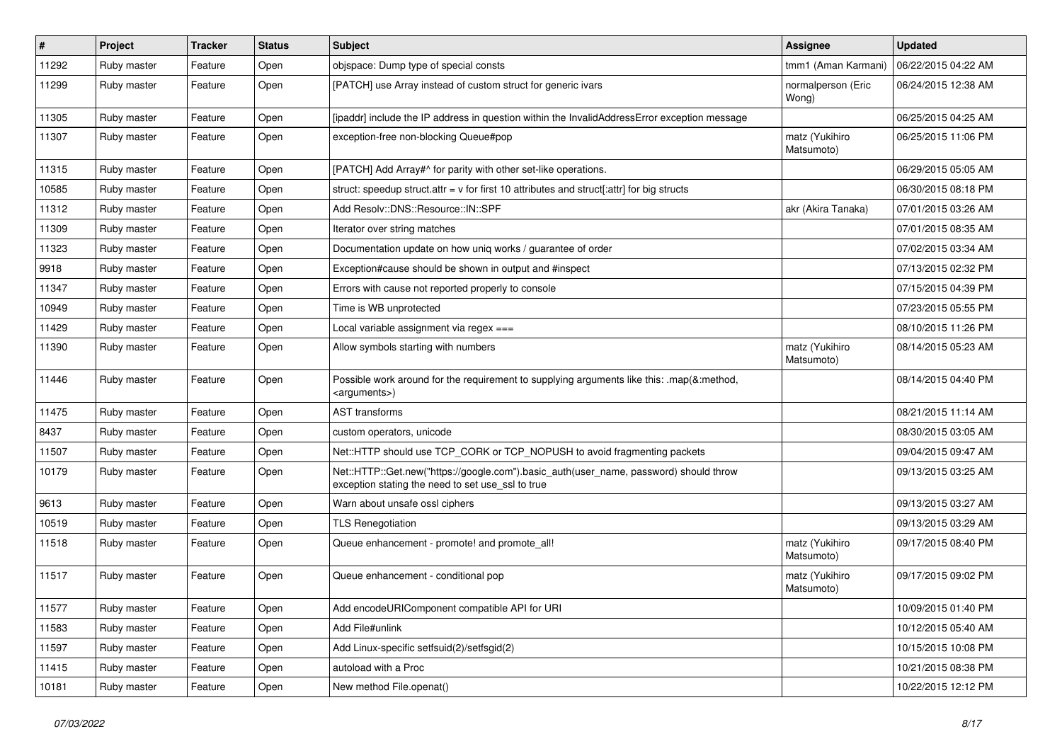| $\pmb{\#}$ | Project     | <b>Tracker</b> | <b>Status</b> | Subject                                                                                                                                    | <b>Assignee</b>              | <b>Updated</b>      |
|------------|-------------|----------------|---------------|--------------------------------------------------------------------------------------------------------------------------------------------|------------------------------|---------------------|
| 11292      | Ruby master | Feature        | Open          | objspace: Dump type of special consts                                                                                                      | tmm1 (Aman Karmani)          | 06/22/2015 04:22 AM |
| 11299      | Ruby master | Feature        | Open          | [PATCH] use Array instead of custom struct for generic ivars                                                                               | normalperson (Eric<br>Wong)  | 06/24/2015 12:38 AM |
| 11305      | Ruby master | Feature        | Open          | [ipaddr] include the IP address in question within the InvalidAddressError exception message                                               |                              | 06/25/2015 04:25 AM |
| 11307      | Ruby master | Feature        | Open          | exception-free non-blocking Queue#pop                                                                                                      | matz (Yukihiro<br>Matsumoto) | 06/25/2015 11:06 PM |
| 11315      | Ruby master | Feature        | Open          | [PATCH] Add Array#^ for parity with other set-like operations.                                                                             |                              | 06/29/2015 05:05 AM |
| 10585      | Ruby master | Feature        | Open          | struct: speedup struct.attr = $v$ for first 10 attributes and struct[:attr] for big structs                                                |                              | 06/30/2015 08:18 PM |
| 11312      | Ruby master | Feature        | Open          | Add Resolv::DNS::Resource::IN::SPF                                                                                                         | akr (Akira Tanaka)           | 07/01/2015 03:26 AM |
| 11309      | Ruby master | Feature        | Open          | Iterator over string matches                                                                                                               |                              | 07/01/2015 08:35 AM |
| 11323      | Ruby master | Feature        | Open          | Documentation update on how uniq works / guarantee of order                                                                                |                              | 07/02/2015 03:34 AM |
| 9918       | Ruby master | Feature        | Open          | Exception#cause should be shown in output and #inspect                                                                                     |                              | 07/13/2015 02:32 PM |
| 11347      | Ruby master | Feature        | Open          | Errors with cause not reported properly to console                                                                                         |                              | 07/15/2015 04:39 PM |
| 10949      | Ruby master | Feature        | Open          | Time is WB unprotected                                                                                                                     |                              | 07/23/2015 05:55 PM |
| 11429      | Ruby master | Feature        | Open          | Local variable assignment via regex $==$                                                                                                   |                              | 08/10/2015 11:26 PM |
| 11390      | Ruby master | Feature        | Open          | Allow symbols starting with numbers                                                                                                        | matz (Yukihiro<br>Matsumoto) | 08/14/2015 05:23 AM |
| 11446      | Ruby master | Feature        | Open          | Possible work around for the requirement to supplying arguments like this: .map(&:method,<br><arguments>)</arguments>                      |                              | 08/14/2015 04:40 PM |
| 11475      | Ruby master | Feature        | Open          | <b>AST</b> transforms                                                                                                                      |                              | 08/21/2015 11:14 AM |
| 8437       | Ruby master | Feature        | Open          | custom operators, unicode                                                                                                                  |                              | 08/30/2015 03:05 AM |
| 11507      | Ruby master | Feature        | Open          | Net::HTTP should use TCP_CORK or TCP_NOPUSH to avoid fragmenting packets                                                                   |                              | 09/04/2015 09:47 AM |
| 10179      | Ruby master | Feature        | Open          | Net::HTTP::Get.new("https://google.com").basic_auth(user_name, password) should throw<br>exception stating the need to set use_ssl to true |                              | 09/13/2015 03:25 AM |
| 9613       | Ruby master | Feature        | Open          | Warn about unsafe ossl ciphers                                                                                                             |                              | 09/13/2015 03:27 AM |
| 10519      | Ruby master | Feature        | Open          | <b>TLS Renegotiation</b>                                                                                                                   |                              | 09/13/2015 03:29 AM |
| 11518      | Ruby master | Feature        | Open          | Queue enhancement - promote! and promote_all!                                                                                              | matz (Yukihiro<br>Matsumoto) | 09/17/2015 08:40 PM |
| 11517      | Ruby master | Feature        | Open          | Queue enhancement - conditional pop                                                                                                        | matz (Yukihiro<br>Matsumoto) | 09/17/2015 09:02 PM |
| 11577      | Ruby master | Feature        | Open          | Add encodeURIComponent compatible API for URI                                                                                              |                              | 10/09/2015 01:40 PM |
| 11583      | Ruby master | Feature        | Open          | Add File#unlink                                                                                                                            |                              | 10/12/2015 05:40 AM |
| 11597      | Ruby master | Feature        | Open          | Add Linux-specific setfsuid(2)/setfsgid(2)                                                                                                 |                              | 10/15/2015 10:08 PM |
| 11415      | Ruby master | Feature        | Open          | autoload with a Proc                                                                                                                       |                              | 10/21/2015 08:38 PM |
| 10181      | Ruby master | Feature        | Open          | New method File.openat()                                                                                                                   |                              | 10/22/2015 12:12 PM |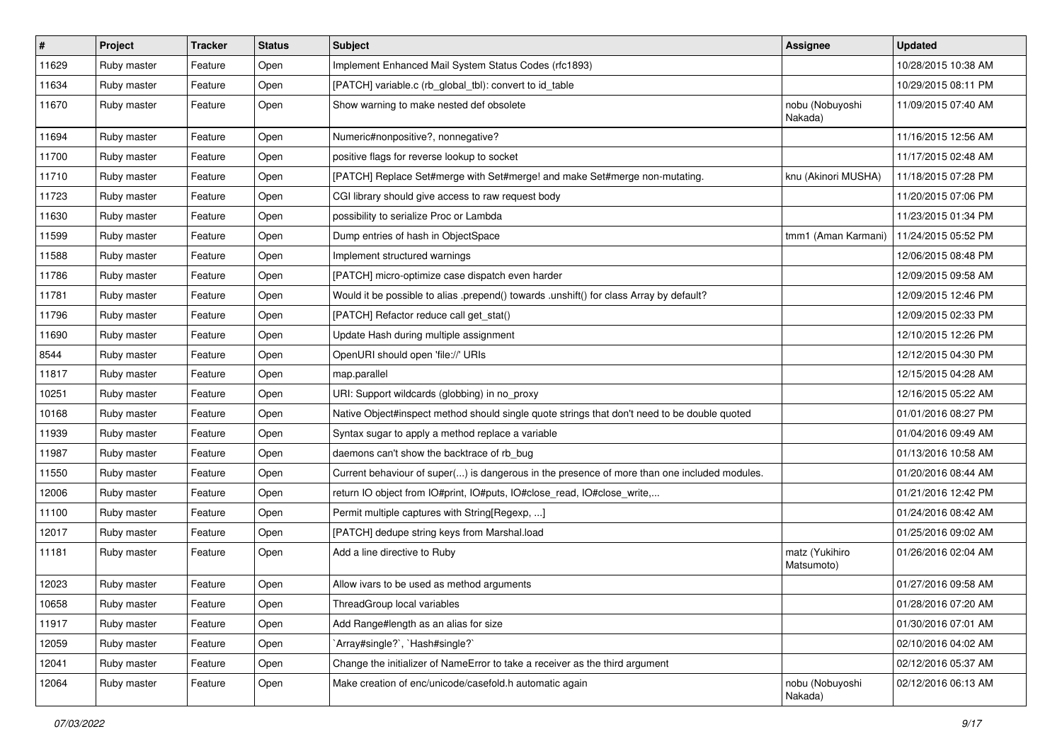| #     | Project     | <b>Tracker</b> | <b>Status</b> | Subject                                                                                      | <b>Assignee</b>              | <b>Updated</b>      |
|-------|-------------|----------------|---------------|----------------------------------------------------------------------------------------------|------------------------------|---------------------|
| 11629 | Ruby master | Feature        | Open          | Implement Enhanced Mail System Status Codes (rfc1893)                                        |                              | 10/28/2015 10:38 AM |
| 11634 | Ruby master | Feature        | Open          | [PATCH] variable.c (rb_global_tbl): convert to id_table                                      |                              | 10/29/2015 08:11 PM |
| 11670 | Ruby master | Feature        | Open          | Show warning to make nested def obsolete                                                     | nobu (Nobuyoshi<br>Nakada)   | 11/09/2015 07:40 AM |
| 11694 | Ruby master | Feature        | Open          | Numeric#nonpositive?, nonnegative?                                                           |                              | 11/16/2015 12:56 AM |
| 11700 | Ruby master | Feature        | Open          | positive flags for reverse lookup to socket                                                  |                              | 11/17/2015 02:48 AM |
| 11710 | Ruby master | Feature        | Open          | [PATCH] Replace Set#merge with Set#merge! and make Set#merge non-mutating.                   | knu (Akinori MUSHA)          | 11/18/2015 07:28 PM |
| 11723 | Ruby master | Feature        | Open          | CGI library should give access to raw request body                                           |                              | 11/20/2015 07:06 PM |
| 11630 | Ruby master | Feature        | Open          | possibility to serialize Proc or Lambda                                                      |                              | 11/23/2015 01:34 PM |
| 11599 | Ruby master | Feature        | Open          | Dump entries of hash in ObjectSpace                                                          | tmm1 (Aman Karmani)          | 11/24/2015 05:52 PM |
| 11588 | Ruby master | Feature        | Open          | Implement structured warnings                                                                |                              | 12/06/2015 08:48 PM |
| 11786 | Ruby master | Feature        | Open          | [PATCH] micro-optimize case dispatch even harder                                             |                              | 12/09/2015 09:58 AM |
| 11781 | Ruby master | Feature        | Open          | Would it be possible to alias .prepend() towards .unshift() for class Array by default?      |                              | 12/09/2015 12:46 PM |
| 11796 | Ruby master | Feature        | Open          | [PATCH] Refactor reduce call get_stat()                                                      |                              | 12/09/2015 02:33 PM |
| 11690 | Ruby master | Feature        | Open          | Update Hash during multiple assignment                                                       |                              | 12/10/2015 12:26 PM |
| 8544  | Ruby master | Feature        | Open          | OpenURI should open 'file://' URIs                                                           |                              | 12/12/2015 04:30 PM |
| 11817 | Ruby master | Feature        | Open          | map.parallel                                                                                 |                              | 12/15/2015 04:28 AM |
| 10251 | Ruby master | Feature        | Open          | URI: Support wildcards (globbing) in no_proxy                                                |                              | 12/16/2015 05:22 AM |
| 10168 | Ruby master | Feature        | Open          | Native Object#inspect method should single quote strings that don't need to be double quoted |                              | 01/01/2016 08:27 PM |
| 11939 | Ruby master | Feature        | Open          | Syntax sugar to apply a method replace a variable                                            |                              | 01/04/2016 09:49 AM |
| 11987 | Ruby master | Feature        | Open          | daemons can't show the backtrace of rb_bug                                                   |                              | 01/13/2016 10:58 AM |
| 11550 | Ruby master | Feature        | Open          | Current behaviour of super() is dangerous in the presence of more than one included modules. |                              | 01/20/2016 08:44 AM |
| 12006 | Ruby master | Feature        | Open          | return IO object from IO#print, IO#puts, IO#close_read, IO#close_write,                      |                              | 01/21/2016 12:42 PM |
| 11100 | Ruby master | Feature        | Open          | Permit multiple captures with String[Regexp, ]                                               |                              | 01/24/2016 08:42 AM |
| 12017 | Ruby master | Feature        | Open          | [PATCH] dedupe string keys from Marshal.load                                                 |                              | 01/25/2016 09:02 AM |
| 11181 | Ruby master | Feature        | Open          | Add a line directive to Ruby                                                                 | matz (Yukihiro<br>Matsumoto) | 01/26/2016 02:04 AM |
| 12023 | Ruby master | Feature        | Open          | Allow ivars to be used as method arguments                                                   |                              | 01/27/2016 09:58 AM |
| 10658 | Ruby master | Feature        | Open          | ThreadGroup local variables                                                                  |                              | 01/28/2016 07:20 AM |
| 11917 | Ruby master | Feature        | Open          | Add Range#length as an alias for size                                                        |                              | 01/30/2016 07:01 AM |
| 12059 | Ruby master | Feature        | Open          | 'Array#single?', 'Hash#single?'                                                              |                              | 02/10/2016 04:02 AM |
| 12041 | Ruby master | Feature        | Open          | Change the initializer of NameError to take a receiver as the third argument                 |                              | 02/12/2016 05:37 AM |
| 12064 | Ruby master | Feature        | Open          | Make creation of enc/unicode/casefold.h automatic again                                      | nobu (Nobuyoshi<br>Nakada)   | 02/12/2016 06:13 AM |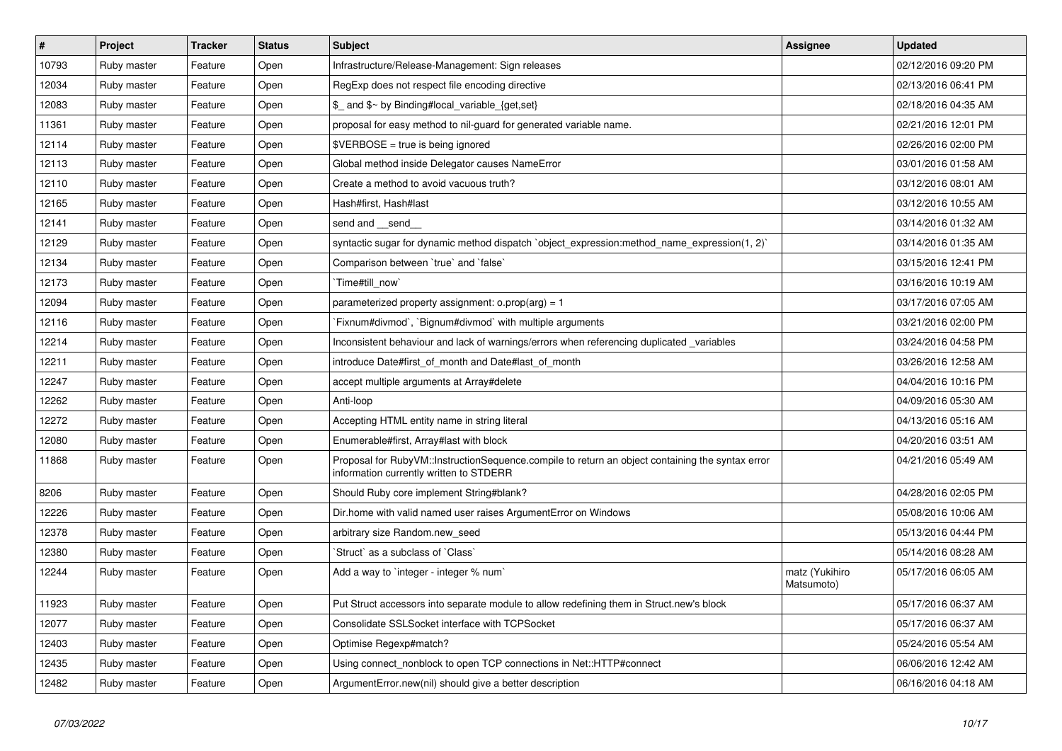| $\vert$ # | Project     | <b>Tracker</b> | <b>Status</b> | <b>Subject</b>                                                                                                                              | <b>Assignee</b>              | <b>Updated</b>      |
|-----------|-------------|----------------|---------------|---------------------------------------------------------------------------------------------------------------------------------------------|------------------------------|---------------------|
| 10793     | Ruby master | Feature        | Open          | Infrastructure/Release-Management: Sign releases                                                                                            |                              | 02/12/2016 09:20 PM |
| 12034     | Ruby master | Feature        | Open          | RegExp does not respect file encoding directive                                                                                             |                              | 02/13/2016 06:41 PM |
| 12083     | Ruby master | Feature        | Open          | \$_ and \$~ by Binding#local_variable_{get,set}                                                                                             |                              | 02/18/2016 04:35 AM |
| 11361     | Ruby master | Feature        | Open          | proposal for easy method to nil-guard for generated variable name.                                                                          |                              | 02/21/2016 12:01 PM |
| 12114     | Ruby master | Feature        | Open          | \$VERBOSE = true is being ignored                                                                                                           |                              | 02/26/2016 02:00 PM |
| 12113     | Ruby master | Feature        | Open          | Global method inside Delegator causes NameError                                                                                             |                              | 03/01/2016 01:58 AM |
| 12110     | Ruby master | Feature        | Open          | Create a method to avoid vacuous truth?                                                                                                     |                              | 03/12/2016 08:01 AM |
| 12165     | Ruby master | Feature        | Open          | Hash#first, Hash#last                                                                                                                       |                              | 03/12/2016 10:55 AM |
| 12141     | Ruby master | Feature        | Open          | send and __send_                                                                                                                            |                              | 03/14/2016 01:32 AM |
| 12129     | Ruby master | Feature        | Open          | syntactic sugar for dynamic method dispatch `object_expression:method_name_expression(1, 2)`                                                |                              | 03/14/2016 01:35 AM |
| 12134     | Ruby master | Feature        | Open          | Comparison between 'true' and 'false'                                                                                                       |                              | 03/15/2016 12:41 PM |
| 12173     | Ruby master | Feature        | Open          | `Time#till now`                                                                                                                             |                              | 03/16/2016 10:19 AM |
| 12094     | Ruby master | Feature        | Open          | parameterized property assignment: $o.prop(arg) = 1$                                                                                        |                              | 03/17/2016 07:05 AM |
| 12116     | Ruby master | Feature        | Open          | Fixnum#divmod`, `Bignum#divmod` with multiple arguments                                                                                     |                              | 03/21/2016 02:00 PM |
| 12214     | Ruby master | Feature        | Open          | Inconsistent behaviour and lack of warnings/errors when referencing duplicated variables                                                    |                              | 03/24/2016 04:58 PM |
| 12211     | Ruby master | Feature        | Open          | introduce Date#first_of_month and Date#last_of_month                                                                                        |                              | 03/26/2016 12:58 AM |
| 12247     | Ruby master | Feature        | Open          | accept multiple arguments at Array#delete                                                                                                   |                              | 04/04/2016 10:16 PM |
| 12262     | Ruby master | Feature        | Open          | Anti-loop                                                                                                                                   |                              | 04/09/2016 05:30 AM |
| 12272     | Ruby master | Feature        | Open          | Accepting HTML entity name in string literal                                                                                                |                              | 04/13/2016 05:16 AM |
| 12080     | Ruby master | Feature        | Open          | Enumerable#first, Array#last with block                                                                                                     |                              | 04/20/2016 03:51 AM |
| 11868     | Ruby master | Feature        | Open          | Proposal for RubyVM::InstructionSequence.compile to return an object containing the syntax error<br>information currently written to STDERR |                              | 04/21/2016 05:49 AM |
| 8206      | Ruby master | Feature        | Open          | Should Ruby core implement String#blank?                                                                                                    |                              | 04/28/2016 02:05 PM |
| 12226     | Ruby master | Feature        | Open          | Dir.home with valid named user raises ArgumentError on Windows                                                                              |                              | 05/08/2016 10:06 AM |
| 12378     | Ruby master | Feature        | Open          | arbitrary size Random.new_seed                                                                                                              |                              | 05/13/2016 04:44 PM |
| 12380     | Ruby master | Feature        | Open          | Struct` as a subclass of `Class`                                                                                                            |                              | 05/14/2016 08:28 AM |
| 12244     | Ruby master | Feature        | Open          | Add a way to `integer - integer % num`                                                                                                      | matz (Yukihiro<br>Matsumoto) | 05/17/2016 06:05 AM |
| 11923     | Ruby master | Feature        | Open          | Put Struct accessors into separate module to allow redefining them in Struct.new's block                                                    |                              | 05/17/2016 06:37 AM |
| 12077     | Ruby master | Feature        | Open          | Consolidate SSLSocket interface with TCPSocket                                                                                              |                              | 05/17/2016 06:37 AM |
| 12403     | Ruby master | Feature        | Open          | Optimise Regexp#match?                                                                                                                      |                              | 05/24/2016 05:54 AM |
| 12435     | Ruby master | Feature        | Open          | Using connect nonblock to open TCP connections in Net::HTTP#connect                                                                         |                              | 06/06/2016 12:42 AM |
| 12482     | Ruby master | Feature        | Open          | ArgumentError.new(nil) should give a better description                                                                                     |                              | 06/16/2016 04:18 AM |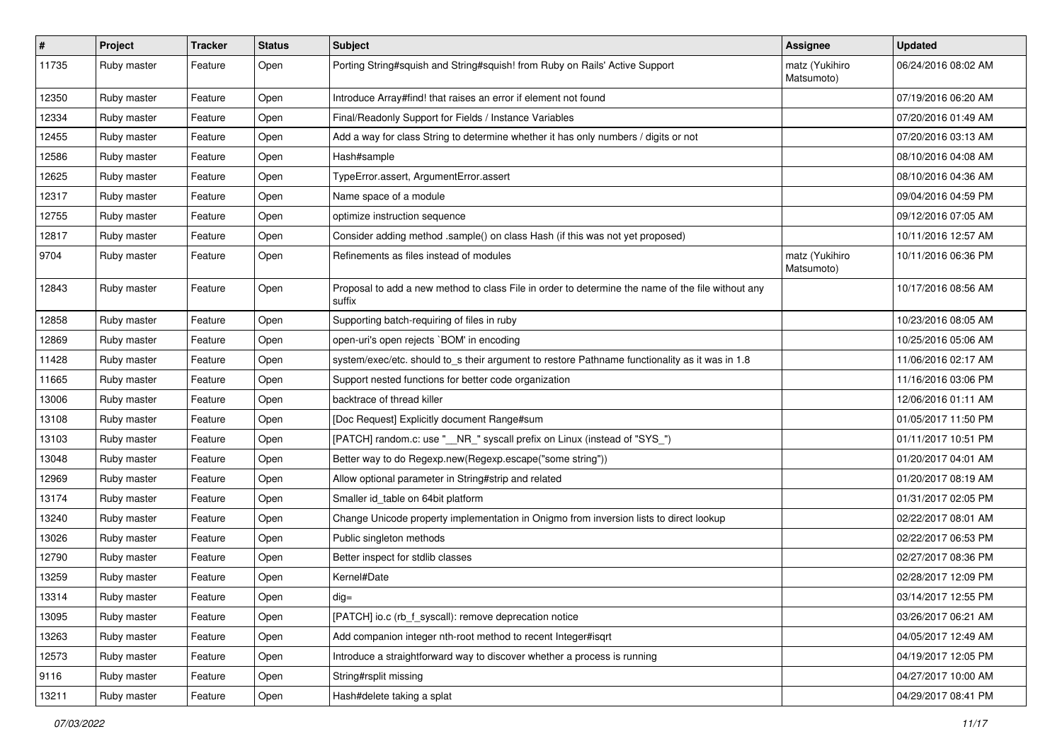| $\vert$ # | Project     | <b>Tracker</b> | <b>Status</b> | <b>Subject</b>                                                                                              | Assignee                     | <b>Updated</b>      |
|-----------|-------------|----------------|---------------|-------------------------------------------------------------------------------------------------------------|------------------------------|---------------------|
| 11735     | Ruby master | Feature        | Open          | Porting String#squish and String#squish! from Ruby on Rails' Active Support                                 | matz (Yukihiro<br>Matsumoto) | 06/24/2016 08:02 AM |
| 12350     | Ruby master | Feature        | Open          | Introduce Array#find! that raises an error if element not found                                             |                              | 07/19/2016 06:20 AM |
| 12334     | Ruby master | Feature        | Open          | Final/Readonly Support for Fields / Instance Variables                                                      |                              | 07/20/2016 01:49 AM |
| 12455     | Ruby master | Feature        | Open          | Add a way for class String to determine whether it has only numbers / digits or not                         |                              | 07/20/2016 03:13 AM |
| 12586     | Ruby master | Feature        | Open          | Hash#sample                                                                                                 |                              | 08/10/2016 04:08 AM |
| 12625     | Ruby master | Feature        | Open          | TypeError.assert, ArgumentError.assert                                                                      |                              | 08/10/2016 04:36 AM |
| 12317     | Ruby master | Feature        | Open          | Name space of a module                                                                                      |                              | 09/04/2016 04:59 PM |
| 12755     | Ruby master | Feature        | Open          | optimize instruction sequence                                                                               |                              | 09/12/2016 07:05 AM |
| 12817     | Ruby master | Feature        | Open          | Consider adding method .sample() on class Hash (if this was not yet proposed)                               |                              | 10/11/2016 12:57 AM |
| 9704      | Ruby master | Feature        | Open          | Refinements as files instead of modules                                                                     | matz (Yukihiro<br>Matsumoto) | 10/11/2016 06:36 PM |
| 12843     | Ruby master | Feature        | Open          | Proposal to add a new method to class File in order to determine the name of the file without any<br>suffix |                              | 10/17/2016 08:56 AM |
| 12858     | Ruby master | Feature        | Open          | Supporting batch-requiring of files in ruby                                                                 |                              | 10/23/2016 08:05 AM |
| 12869     | Ruby master | Feature        | Open          | open-uri's open rejects `BOM' in encoding                                                                   |                              | 10/25/2016 05:06 AM |
| 11428     | Ruby master | Feature        | Open          | system/exec/etc. should to_s their argument to restore Pathname functionality as it was in 1.8              |                              | 11/06/2016 02:17 AM |
| 11665     | Ruby master | Feature        | Open          | Support nested functions for better code organization                                                       |                              | 11/16/2016 03:06 PM |
| 13006     | Ruby master | Feature        | Open          | backtrace of thread killer                                                                                  |                              | 12/06/2016 01:11 AM |
| 13108     | Ruby master | Feature        | Open          | [Doc Request] Explicitly document Range#sum                                                                 |                              | 01/05/2017 11:50 PM |
| 13103     | Ruby master | Feature        | Open          | [PATCH] random.c: use "__NR_" syscall prefix on Linux (instead of "SYS_")                                   |                              | 01/11/2017 10:51 PM |
| 13048     | Ruby master | Feature        | Open          | Better way to do Regexp.new(Regexp.escape("some string"))                                                   |                              | 01/20/2017 04:01 AM |
| 12969     | Ruby master | Feature        | Open          | Allow optional parameter in String#strip and related                                                        |                              | 01/20/2017 08:19 AM |
| 13174     | Ruby master | Feature        | Open          | Smaller id_table on 64bit platform                                                                          |                              | 01/31/2017 02:05 PM |
| 13240     | Ruby master | Feature        | Open          | Change Unicode property implementation in Onigmo from inversion lists to direct lookup                      |                              | 02/22/2017 08:01 AM |
| 13026     | Ruby master | Feature        | Open          | Public singleton methods                                                                                    |                              | 02/22/2017 06:53 PM |
| 12790     | Ruby master | Feature        | Open          | Better inspect for stdlib classes                                                                           |                              | 02/27/2017 08:36 PM |
| 13259     | Ruby master | Feature        | Open          | Kernel#Date                                                                                                 |                              | 02/28/2017 12:09 PM |
| 13314     | Ruby master | Feature        | Open          | dig=                                                                                                        |                              | 03/14/2017 12:55 PM |
| 13095     | Ruby master | Feature        | Open          | [PATCH] io.c (rb_f_syscall): remove deprecation notice                                                      |                              | 03/26/2017 06:21 AM |
| 13263     | Ruby master | Feature        | Open          | Add companion integer nth-root method to recent Integer#isqrt                                               |                              | 04/05/2017 12:49 AM |
| 12573     | Ruby master | Feature        | Open          | Introduce a straightforward way to discover whether a process is running                                    |                              | 04/19/2017 12:05 PM |
| 9116      | Ruby master | Feature        | Open          | String#rsplit missing                                                                                       |                              | 04/27/2017 10:00 AM |
| 13211     | Ruby master | Feature        | Open          | Hash#delete taking a splat                                                                                  |                              | 04/29/2017 08:41 PM |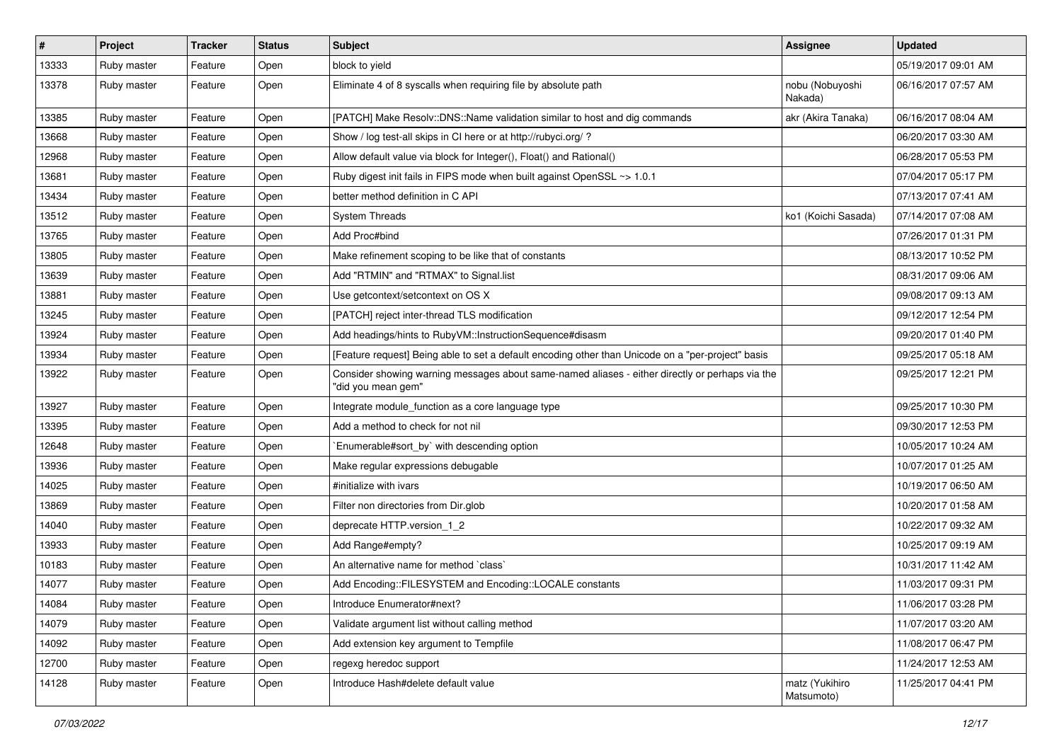| $\vert$ # | Project     | <b>Tracker</b> | <b>Status</b> | <b>Subject</b>                                                                                                        | Assignee                     | <b>Updated</b>      |
|-----------|-------------|----------------|---------------|-----------------------------------------------------------------------------------------------------------------------|------------------------------|---------------------|
| 13333     | Ruby master | Feature        | Open          | block to yield                                                                                                        |                              | 05/19/2017 09:01 AM |
| 13378     | Ruby master | Feature        | Open          | Eliminate 4 of 8 syscalls when requiring file by absolute path                                                        | nobu (Nobuyoshi<br>Nakada)   | 06/16/2017 07:57 AM |
| 13385     | Ruby master | Feature        | Open          | [PATCH] Make Resolv::DNS::Name validation similar to host and dig commands                                            | akr (Akira Tanaka)           | 06/16/2017 08:04 AM |
| 13668     | Ruby master | Feature        | Open          | Show / log test-all skips in CI here or at http://rubyci.org/ ?                                                       |                              | 06/20/2017 03:30 AM |
| 12968     | Ruby master | Feature        | Open          | Allow default value via block for Integer(), Float() and Rational()                                                   |                              | 06/28/2017 05:53 PM |
| 13681     | Ruby master | Feature        | Open          | Ruby digest init fails in FIPS mode when built against OpenSSL ~> 1.0.1                                               |                              | 07/04/2017 05:17 PM |
| 13434     | Ruby master | Feature        | Open          | better method definition in C API                                                                                     |                              | 07/13/2017 07:41 AM |
| 13512     | Ruby master | Feature        | Open          | <b>System Threads</b>                                                                                                 | ko1 (Koichi Sasada)          | 07/14/2017 07:08 AM |
| 13765     | Ruby master | Feature        | Open          | Add Proc#bind                                                                                                         |                              | 07/26/2017 01:31 PM |
| 13805     | Ruby master | Feature        | Open          | Make refinement scoping to be like that of constants                                                                  |                              | 08/13/2017 10:52 PM |
| 13639     | Ruby master | Feature        | Open          | Add "RTMIN" and "RTMAX" to Signal.list                                                                                |                              | 08/31/2017 09:06 AM |
| 13881     | Ruby master | Feature        | Open          | Use getcontext/setcontext on OS X                                                                                     |                              | 09/08/2017 09:13 AM |
| 13245     | Ruby master | Feature        | Open          | [PATCH] reject inter-thread TLS modification                                                                          |                              | 09/12/2017 12:54 PM |
| 13924     | Ruby master | Feature        | Open          | Add headings/hints to RubyVM::InstructionSequence#disasm                                                              |                              | 09/20/2017 01:40 PM |
| 13934     | Ruby master | Feature        | Open          | [Feature request] Being able to set a default encoding other than Unicode on a "per-project" basis                    |                              | 09/25/2017 05:18 AM |
| 13922     | Ruby master | Feature        | Open          | Consider showing warning messages about same-named aliases - either directly or perhaps via the<br>"did you mean gem" |                              | 09/25/2017 12:21 PM |
| 13927     | Ruby master | Feature        | Open          | Integrate module_function as a core language type                                                                     |                              | 09/25/2017 10:30 PM |
| 13395     | Ruby master | Feature        | Open          | Add a method to check for not nil                                                                                     |                              | 09/30/2017 12:53 PM |
| 12648     | Ruby master | Feature        | Open          | Enumerable#sort by` with descending option                                                                            |                              | 10/05/2017 10:24 AM |
| 13936     | Ruby master | Feature        | Open          | Make regular expressions debugable                                                                                    |                              | 10/07/2017 01:25 AM |
| 14025     | Ruby master | Feature        | Open          | #initialize with ivars                                                                                                |                              | 10/19/2017 06:50 AM |
| 13869     | Ruby master | Feature        | Open          | Filter non directories from Dir.glob                                                                                  |                              | 10/20/2017 01:58 AM |
| 14040     | Ruby master | Feature        | Open          | deprecate HTTP.version_1_2                                                                                            |                              | 10/22/2017 09:32 AM |
| 13933     | Ruby master | Feature        | Open          | Add Range#empty?                                                                                                      |                              | 10/25/2017 09:19 AM |
| 10183     | Ruby master | Feature        | Open          | An alternative name for method `class`                                                                                |                              | 10/31/2017 11:42 AM |
| 14077     | Ruby master | Feature        | Open          | Add Encoding::FILESYSTEM and Encoding::LOCALE constants                                                               |                              | 11/03/2017 09:31 PM |
| 14084     | Ruby master | Feature        | Open          | Introduce Enumerator#next?                                                                                            |                              | 11/06/2017 03:28 PM |
| 14079     | Ruby master | Feature        | Open          | Validate argument list without calling method                                                                         |                              | 11/07/2017 03:20 AM |
| 14092     | Ruby master | Feature        | Open          | Add extension key argument to Tempfile                                                                                |                              | 11/08/2017 06:47 PM |
| 12700     | Ruby master | Feature        | Open          | regexg heredoc support                                                                                                |                              | 11/24/2017 12:53 AM |
| 14128     | Ruby master | Feature        | Open          | Introduce Hash#delete default value                                                                                   | matz (Yukihiro<br>Matsumoto) | 11/25/2017 04:41 PM |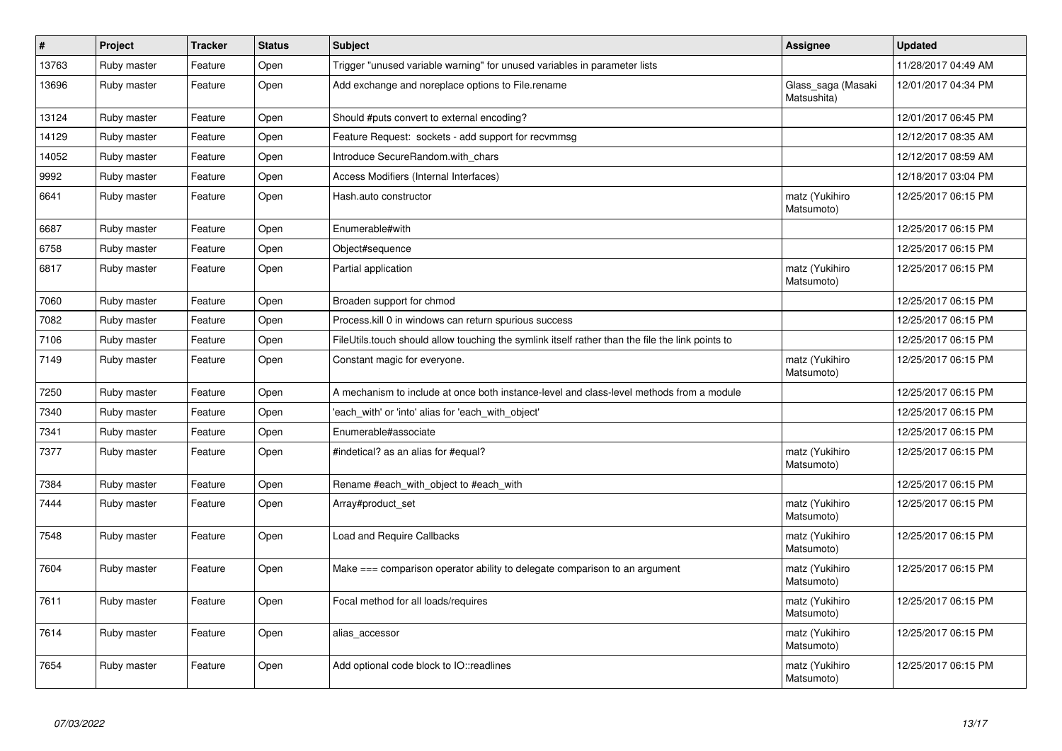| $\sharp$ | Project     | <b>Tracker</b> | <b>Status</b> | <b>Subject</b>                                                                                   | Assignee                          | <b>Updated</b>      |
|----------|-------------|----------------|---------------|--------------------------------------------------------------------------------------------------|-----------------------------------|---------------------|
| 13763    | Ruby master | Feature        | Open          | Trigger "unused variable warning" for unused variables in parameter lists                        |                                   | 11/28/2017 04:49 AM |
| 13696    | Ruby master | Feature        | Open          | Add exchange and noreplace options to File.rename                                                | Glass_saga (Masaki<br>Matsushita) | 12/01/2017 04:34 PM |
| 13124    | Ruby master | Feature        | Open          | Should #puts convert to external encoding?                                                       |                                   | 12/01/2017 06:45 PM |
| 14129    | Ruby master | Feature        | Open          | Feature Request: sockets - add support for recvmmsg                                              |                                   | 12/12/2017 08:35 AM |
| 14052    | Ruby master | Feature        | Open          | Introduce SecureRandom.with chars                                                                |                                   | 12/12/2017 08:59 AM |
| 9992     | Ruby master | Feature        | Open          | Access Modifiers (Internal Interfaces)                                                           |                                   | 12/18/2017 03:04 PM |
| 6641     | Ruby master | Feature        | Open          | Hash.auto constructor                                                                            | matz (Yukihiro<br>Matsumoto)      | 12/25/2017 06:15 PM |
| 6687     | Ruby master | Feature        | Open          | Enumerable#with                                                                                  |                                   | 12/25/2017 06:15 PM |
| 6758     | Ruby master | Feature        | Open          | Object#sequence                                                                                  |                                   | 12/25/2017 06:15 PM |
| 6817     | Ruby master | Feature        | Open          | Partial application                                                                              | matz (Yukihiro<br>Matsumoto)      | 12/25/2017 06:15 PM |
| 7060     | Ruby master | Feature        | Open          | Broaden support for chmod                                                                        |                                   | 12/25/2017 06:15 PM |
| 7082     | Ruby master | Feature        | Open          | Process. kill 0 in windows can return spurious success                                           |                                   | 12/25/2017 06:15 PM |
| 7106     | Ruby master | Feature        | Open          | FileUtils.touch should allow touching the symlink itself rather than the file the link points to |                                   | 12/25/2017 06:15 PM |
| 7149     | Ruby master | Feature        | Open          | Constant magic for everyone.                                                                     | matz (Yukihiro<br>Matsumoto)      | 12/25/2017 06:15 PM |
| 7250     | Ruby master | Feature        | Open          | A mechanism to include at once both instance-level and class-level methods from a module         |                                   | 12/25/2017 06:15 PM |
| 7340     | Ruby master | Feature        | Open          | 'each with' or 'into' alias for 'each with object'                                               |                                   | 12/25/2017 06:15 PM |
| 7341     | Ruby master | Feature        | Open          | Enumerable#associate                                                                             |                                   | 12/25/2017 06:15 PM |
| 7377     | Ruby master | Feature        | Open          | #indetical? as an alias for #equal?                                                              | matz (Yukihiro<br>Matsumoto)      | 12/25/2017 06:15 PM |
| 7384     | Ruby master | Feature        | Open          | Rename #each with object to #each with                                                           |                                   | 12/25/2017 06:15 PM |
| 7444     | Ruby master | Feature        | Open          | Array#product_set                                                                                | matz (Yukihiro<br>Matsumoto)      | 12/25/2017 06:15 PM |
| 7548     | Ruby master | Feature        | Open          | Load and Require Callbacks                                                                       | matz (Yukihiro<br>Matsumoto)      | 12/25/2017 06:15 PM |
| 7604     | Ruby master | Feature        | Open          | Make $==$ comparison operator ability to delegate comparison to an argument                      | matz (Yukihiro<br>Matsumoto)      | 12/25/2017 06:15 PM |
| 7611     | Ruby master | Feature        | Open          | Focal method for all loads/requires                                                              | matz (Yukihiro<br>Matsumoto)      | 12/25/2017 06:15 PM |
| 7614     | Ruby master | Feature        | Open          | alias accessor                                                                                   | matz (Yukihiro<br>Matsumoto)      | 12/25/2017 06:15 PM |
| 7654     | Ruby master | Feature        | Open          | Add optional code block to IO::readlines                                                         | matz (Yukihiro<br>Matsumoto)      | 12/25/2017 06:15 PM |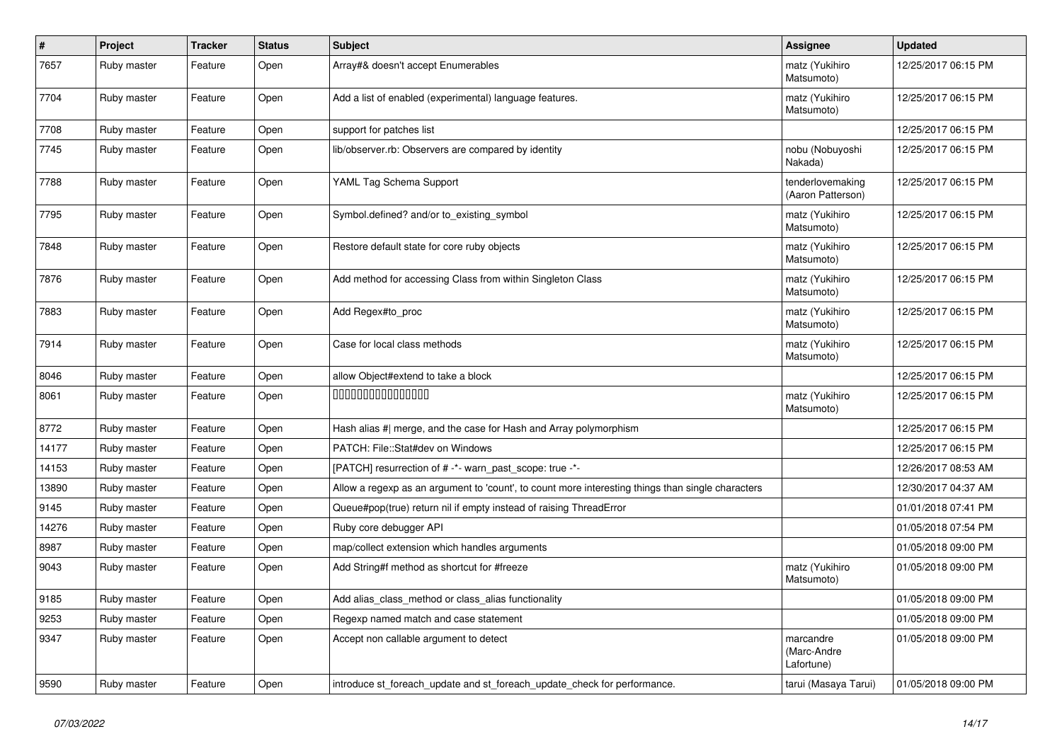| $\pmb{\#}$ | Project     | <b>Tracker</b> | <b>Status</b> | <b>Subject</b>                                                                                    | <b>Assignee</b>                        | <b>Updated</b>      |
|------------|-------------|----------------|---------------|---------------------------------------------------------------------------------------------------|----------------------------------------|---------------------|
| 7657       | Ruby master | Feature        | Open          | Array#& doesn't accept Enumerables                                                                | matz (Yukihiro<br>Matsumoto)           | 12/25/2017 06:15 PM |
| 7704       | Ruby master | Feature        | Open          | Add a list of enabled (experimental) language features.                                           | matz (Yukihiro<br>Matsumoto)           | 12/25/2017 06:15 PM |
| 7708       | Ruby master | Feature        | Open          | support for patches list                                                                          |                                        | 12/25/2017 06:15 PM |
| 7745       | Ruby master | Feature        | Open          | lib/observer.rb: Observers are compared by identity                                               | nobu (Nobuyoshi<br>Nakada)             | 12/25/2017 06:15 PM |
| 7788       | Ruby master | Feature        | Open          | YAML Tag Schema Support                                                                           | tenderlovemaking<br>(Aaron Patterson)  | 12/25/2017 06:15 PM |
| 7795       | Ruby master | Feature        | Open          | Symbol.defined? and/or to_existing_symbol                                                         | matz (Yukihiro<br>Matsumoto)           | 12/25/2017 06:15 PM |
| 7848       | Ruby master | Feature        | Open          | Restore default state for core ruby objects                                                       | matz (Yukihiro<br>Matsumoto)           | 12/25/2017 06:15 PM |
| 7876       | Ruby master | Feature        | Open          | Add method for accessing Class from within Singleton Class                                        | matz (Yukihiro<br>Matsumoto)           | 12/25/2017 06:15 PM |
| 7883       | Ruby master | Feature        | Open          | Add Regex#to_proc                                                                                 | matz (Yukihiro<br>Matsumoto)           | 12/25/2017 06:15 PM |
| 7914       | Ruby master | Feature        | Open          | Case for local class methods                                                                      | matz (Yukihiro<br>Matsumoto)           | 12/25/2017 06:15 PM |
| 8046       | Ruby master | Feature        | Open          | allow Object#extend to take a block                                                               |                                        | 12/25/2017 06:15 PM |
| 8061       | Ruby master | Feature        | Open          | 0000000000000000                                                                                  | matz (Yukihiro<br>Matsumoto)           | 12/25/2017 06:15 PM |
| 8772       | Ruby master | Feature        | Open          | Hash alias # merge, and the case for Hash and Array polymorphism                                  |                                        | 12/25/2017 06:15 PM |
| 14177      | Ruby master | Feature        | Open          | PATCH: File::Stat#dev on Windows                                                                  |                                        | 12/25/2017 06:15 PM |
| 14153      | Ruby master | Feature        | Open          | [PATCH] resurrection of # -*- warn past scope: true -*-                                           |                                        | 12/26/2017 08:53 AM |
| 13890      | Ruby master | Feature        | Open          | Allow a regexp as an argument to 'count', to count more interesting things than single characters |                                        | 12/30/2017 04:37 AM |
| 9145       | Ruby master | Feature        | Open          | Queue#pop(true) return nil if empty instead of raising ThreadError                                |                                        | 01/01/2018 07:41 PM |
| 14276      | Ruby master | Feature        | Open          | Ruby core debugger API                                                                            |                                        | 01/05/2018 07:54 PM |
| 8987       | Ruby master | Feature        | Open          | map/collect extension which handles arguments                                                     |                                        | 01/05/2018 09:00 PM |
| 9043       | Ruby master | Feature        | Open          | Add String#f method as shortcut for #freeze                                                       | matz (Yukihiro<br>Matsumoto)           | 01/05/2018 09:00 PM |
| 9185       | Ruby master | Feature        | Open          | Add alias_class_method or class_alias functionality                                               |                                        | 01/05/2018 09:00 PM |
| 9253       | Ruby master | Feature        | Open          | Regexp named match and case statement                                                             |                                        | 01/05/2018 09:00 PM |
| 9347       | Ruby master | Feature        | Open          | Accept non callable argument to detect                                                            | marcandre<br>(Marc-Andre<br>Lafortune) | 01/05/2018 09:00 PM |
| 9590       | Ruby master | Feature        | Open          | introduce st foreach update and st foreach update check for performance.                          | tarui (Masaya Tarui)                   | 01/05/2018 09:00 PM |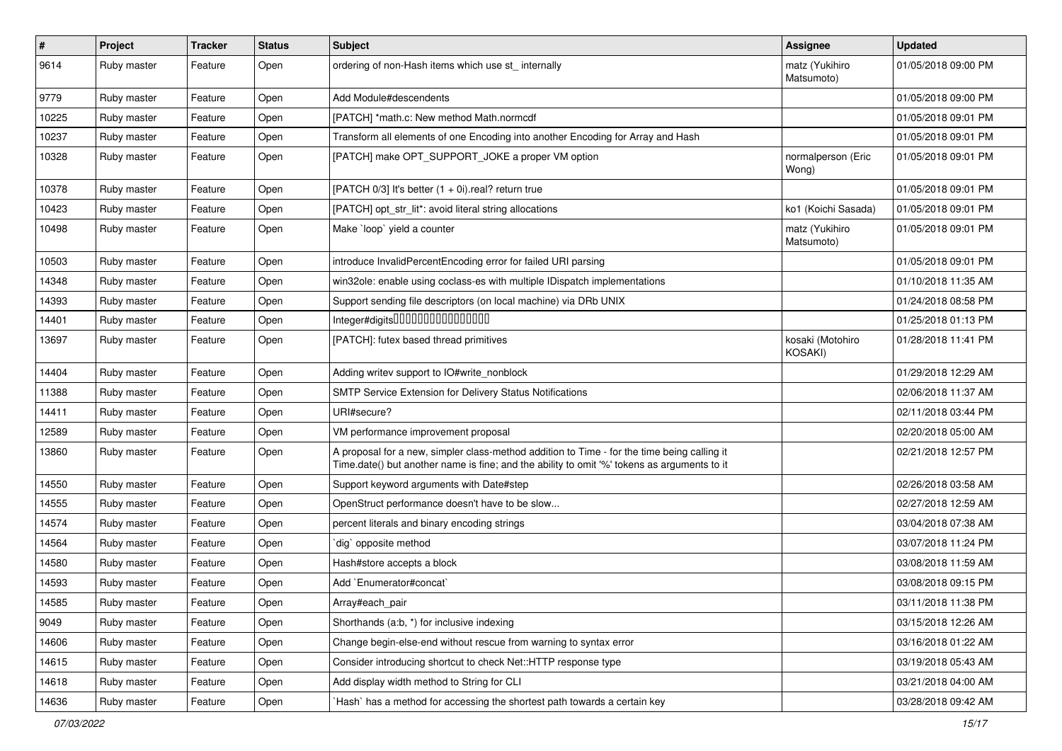| $\sharp$ | Project     | <b>Tracker</b> | <b>Status</b> | Subject                                                                                                                                                                                    | <b>Assignee</b>              | <b>Updated</b>      |
|----------|-------------|----------------|---------------|--------------------------------------------------------------------------------------------------------------------------------------------------------------------------------------------|------------------------------|---------------------|
| 9614     | Ruby master | Feature        | Open          | ordering of non-Hash items which use st_ internally                                                                                                                                        | matz (Yukihiro<br>Matsumoto) | 01/05/2018 09:00 PM |
| 9779     | Ruby master | Feature        | Open          | Add Module#descendents                                                                                                                                                                     |                              | 01/05/2018 09:00 PM |
| 10225    | Ruby master | Feature        | Open          | [PATCH] *math.c: New method Math.normcdf                                                                                                                                                   |                              | 01/05/2018 09:01 PM |
| 10237    | Ruby master | Feature        | Open          | Transform all elements of one Encoding into another Encoding for Array and Hash                                                                                                            |                              | 01/05/2018 09:01 PM |
| 10328    | Ruby master | Feature        | Open          | [PATCH] make OPT_SUPPORT_JOKE a proper VM option                                                                                                                                           | normalperson (Eric<br>Wong)  | 01/05/2018 09:01 PM |
| 10378    | Ruby master | Feature        | Open          | [PATCH 0/3] It's better $(1 + 0i)$ real? return true                                                                                                                                       |                              | 01/05/2018 09:01 PM |
| 10423    | Ruby master | Feature        | Open          | [PATCH] opt_str_lit*: avoid literal string allocations                                                                                                                                     | ko1 (Koichi Sasada)          | 01/05/2018 09:01 PM |
| 10498    | Ruby master | Feature        | Open          | Make `loop` yield a counter                                                                                                                                                                | matz (Yukihiro<br>Matsumoto) | 01/05/2018 09:01 PM |
| 10503    | Ruby master | Feature        | Open          | introduce InvalidPercentEncoding error for failed URI parsing                                                                                                                              |                              | 01/05/2018 09:01 PM |
| 14348    | Ruby master | Feature        | Open          | win32ole: enable using coclass-es with multiple IDispatch implementations                                                                                                                  |                              | 01/10/2018 11:35 AM |
| 14393    | Ruby master | Feature        | Open          | Support sending file descriptors (on local machine) via DRb UNIX                                                                                                                           |                              | 01/24/2018 08:58 PM |
| 14401    | Ruby master | Feature        | Open          | Integer#digits000000000000000                                                                                                                                                              |                              | 01/25/2018 01:13 PM |
| 13697    | Ruby master | Feature        | Open          | [PATCH]: futex based thread primitives                                                                                                                                                     | kosaki (Motohiro<br>KOSAKI)  | 01/28/2018 11:41 PM |
| 14404    | Ruby master | Feature        | Open          | Adding writev support to IO#write_nonblock                                                                                                                                                 |                              | 01/29/2018 12:29 AM |
| 11388    | Ruby master | Feature        | Open          | SMTP Service Extension for Delivery Status Notifications                                                                                                                                   |                              | 02/06/2018 11:37 AM |
| 14411    | Ruby master | Feature        | Open          | URI#secure?                                                                                                                                                                                |                              | 02/11/2018 03:44 PM |
| 12589    | Ruby master | Feature        | Open          | VM performance improvement proposal                                                                                                                                                        |                              | 02/20/2018 05:00 AM |
| 13860    | Ruby master | Feature        | Open          | A proposal for a new, simpler class-method addition to Time - for the time being calling it<br>Time.date() but another name is fine; and the ability to omit '%' tokens as arguments to it |                              | 02/21/2018 12:57 PM |
| 14550    | Ruby master | Feature        | Open          | Support keyword arguments with Date#step                                                                                                                                                   |                              | 02/26/2018 03:58 AM |
| 14555    | Ruby master | Feature        | Open          | OpenStruct performance doesn't have to be slow                                                                                                                                             |                              | 02/27/2018 12:59 AM |
| 14574    | Ruby master | Feature        | Open          | percent literals and binary encoding strings                                                                                                                                               |                              | 03/04/2018 07:38 AM |
| 14564    | Ruby master | Feature        | Open          | dig opposite method                                                                                                                                                                        |                              | 03/07/2018 11:24 PM |
| 14580    | Ruby master | Feature        | Open          | Hash#store accepts a block                                                                                                                                                                 |                              | 03/08/2018 11:59 AM |
| 14593    | Ruby master | Feature        | Open          | Add `Enumerator#concat`                                                                                                                                                                    |                              | 03/08/2018 09:15 PM |
| 14585    | Ruby master | Feature        | Open          | Array#each_pair                                                                                                                                                                            |                              | 03/11/2018 11:38 PM |
| 9049     | Ruby master | Feature        | Open          | Shorthands (a:b, *) for inclusive indexing                                                                                                                                                 |                              | 03/15/2018 12:26 AM |
| 14606    | Ruby master | Feature        | Open          | Change begin-else-end without rescue from warning to syntax error                                                                                                                          |                              | 03/16/2018 01:22 AM |
| 14615    | Ruby master | Feature        | Open          | Consider introducing shortcut to check Net::HTTP response type                                                                                                                             |                              | 03/19/2018 05:43 AM |
| 14618    | Ruby master | Feature        | Open          | Add display width method to String for CLI                                                                                                                                                 |                              | 03/21/2018 04:00 AM |
| 14636    | Ruby master | Feature        | Open          | Hash` has a method for accessing the shortest path towards a certain key                                                                                                                   |                              | 03/28/2018 09:42 AM |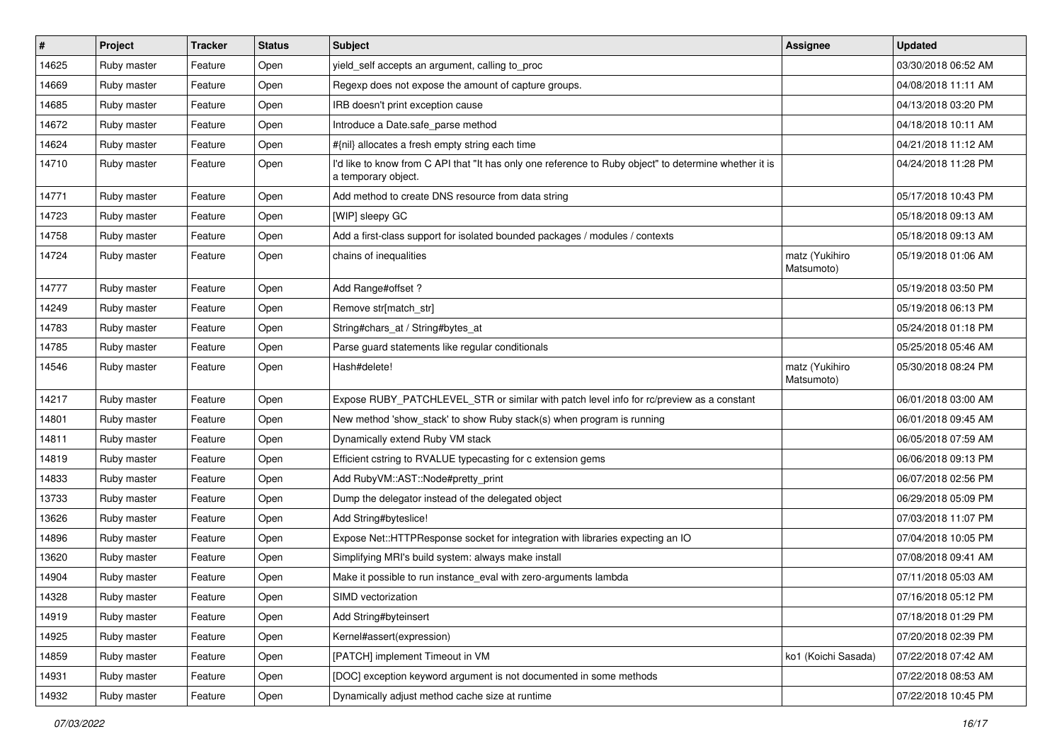| #     | <b>Project</b> | <b>Tracker</b> | <b>Status</b> | Subject                                                                                                                       | <b>Assignee</b>              | <b>Updated</b>      |
|-------|----------------|----------------|---------------|-------------------------------------------------------------------------------------------------------------------------------|------------------------------|---------------------|
| 14625 | Ruby master    | Feature        | Open          | yield_self accepts an argument, calling to_proc                                                                               |                              | 03/30/2018 06:52 AM |
| 14669 | Ruby master    | Feature        | Open          | Regexp does not expose the amount of capture groups.                                                                          |                              | 04/08/2018 11:11 AM |
| 14685 | Ruby master    | Feature        | Open          | IRB doesn't print exception cause                                                                                             |                              | 04/13/2018 03:20 PM |
| 14672 | Ruby master    | Feature        | Open          | Introduce a Date.safe_parse method                                                                                            |                              | 04/18/2018 10:11 AM |
| 14624 | Ruby master    | Feature        | Open          | #{nil} allocates a fresh empty string each time                                                                               |                              | 04/21/2018 11:12 AM |
| 14710 | Ruby master    | Feature        | Open          | I'd like to know from C API that "It has only one reference to Ruby object" to determine whether it is<br>a temporary object. |                              | 04/24/2018 11:28 PM |
| 14771 | Ruby master    | Feature        | Open          | Add method to create DNS resource from data string                                                                            |                              | 05/17/2018 10:43 PM |
| 14723 | Ruby master    | Feature        | Open          | [WIP] sleepy GC                                                                                                               |                              | 05/18/2018 09:13 AM |
| 14758 | Ruby master    | Feature        | Open          | Add a first-class support for isolated bounded packages / modules / contexts                                                  |                              | 05/18/2018 09:13 AM |
| 14724 | Ruby master    | Feature        | Open          | chains of inequalities                                                                                                        | matz (Yukihiro<br>Matsumoto) | 05/19/2018 01:06 AM |
| 14777 | Ruby master    | Feature        | Open          | Add Range#offset?                                                                                                             |                              | 05/19/2018 03:50 PM |
| 14249 | Ruby master    | Feature        | Open          | Remove str[match_str]                                                                                                         |                              | 05/19/2018 06:13 PM |
| 14783 | Ruby master    | Feature        | Open          | String#chars_at / String#bytes_at                                                                                             |                              | 05/24/2018 01:18 PM |
| 14785 | Ruby master    | Feature        | Open          | Parse guard statements like regular conditionals                                                                              |                              | 05/25/2018 05:46 AM |
| 14546 | Ruby master    | Feature        | Open          | Hash#delete!                                                                                                                  | matz (Yukihiro<br>Matsumoto) | 05/30/2018 08:24 PM |
| 14217 | Ruby master    | Feature        | Open          | Expose RUBY_PATCHLEVEL_STR or similar with patch level info for rc/preview as a constant                                      |                              | 06/01/2018 03:00 AM |
| 14801 | Ruby master    | Feature        | Open          | New method 'show_stack' to show Ruby stack(s) when program is running                                                         |                              | 06/01/2018 09:45 AM |
| 14811 | Ruby master    | Feature        | Open          | Dynamically extend Ruby VM stack                                                                                              |                              | 06/05/2018 07:59 AM |
| 14819 | Ruby master    | Feature        | Open          | Efficient cstring to RVALUE typecasting for c extension gems                                                                  |                              | 06/06/2018 09:13 PM |
| 14833 | Ruby master    | Feature        | Open          | Add RubyVM::AST::Node#pretty_print                                                                                            |                              | 06/07/2018 02:56 PM |
| 13733 | Ruby master    | Feature        | Open          | Dump the delegator instead of the delegated object                                                                            |                              | 06/29/2018 05:09 PM |
| 13626 | Ruby master    | Feature        | Open          | Add String#byteslice!                                                                                                         |                              | 07/03/2018 11:07 PM |
| 14896 | Ruby master    | Feature        | Open          | Expose Net::HTTPResponse socket for integration with libraries expecting an IO                                                |                              | 07/04/2018 10:05 PM |
| 13620 | Ruby master    | Feature        | Open          | Simplifying MRI's build system: always make install                                                                           |                              | 07/08/2018 09:41 AM |
| 14904 | Ruby master    | Feature        | Open          | Make it possible to run instance_eval with zero-arguments lambda                                                              |                              | 07/11/2018 05:03 AM |
| 14328 | Ruby master    | Feature        | Open          | SIMD vectorization                                                                                                            |                              | 07/16/2018 05:12 PM |
| 14919 | Ruby master    | Feature        | Open          | Add String#byteinsert                                                                                                         |                              | 07/18/2018 01:29 PM |
| 14925 | Ruby master    | Feature        | Open          | Kernel#assert(expression)                                                                                                     |                              | 07/20/2018 02:39 PM |
| 14859 | Ruby master    | Feature        | Open          | [PATCH] implement Timeout in VM                                                                                               | ko1 (Koichi Sasada)          | 07/22/2018 07:42 AM |
| 14931 | Ruby master    | Feature        | Open          | [DOC] exception keyword argument is not documented in some methods                                                            |                              | 07/22/2018 08:53 AM |
| 14932 | Ruby master    | Feature        | Open          | Dynamically adjust method cache size at runtime                                                                               |                              | 07/22/2018 10:45 PM |